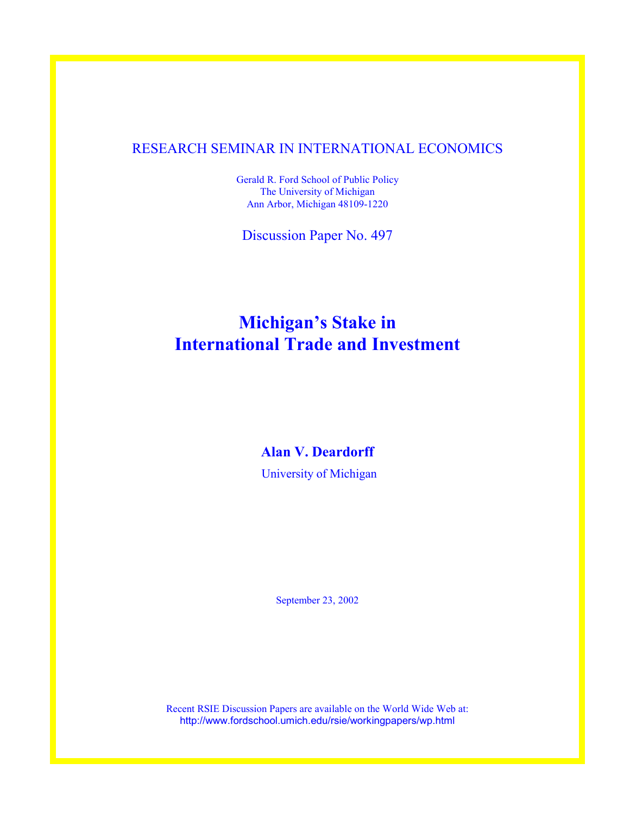# RESEARCH SEMINAR IN INTERNATIONAL ECONOMICS

Gerald R. Ford School of Public Policy The University of Michigan Ann Arbor, Michigan 48109-1220

Discussion Paper No. 497

# **Michigan's Stake in International Trade and Investment**

## **Alan V. Deardorff**

University of Michigan

September 23, 2002

Recent RSIE Discussion Papers are available on the World Wide Web at: http://www.fordschool.umich.edu/rsie/workingpapers/wp.html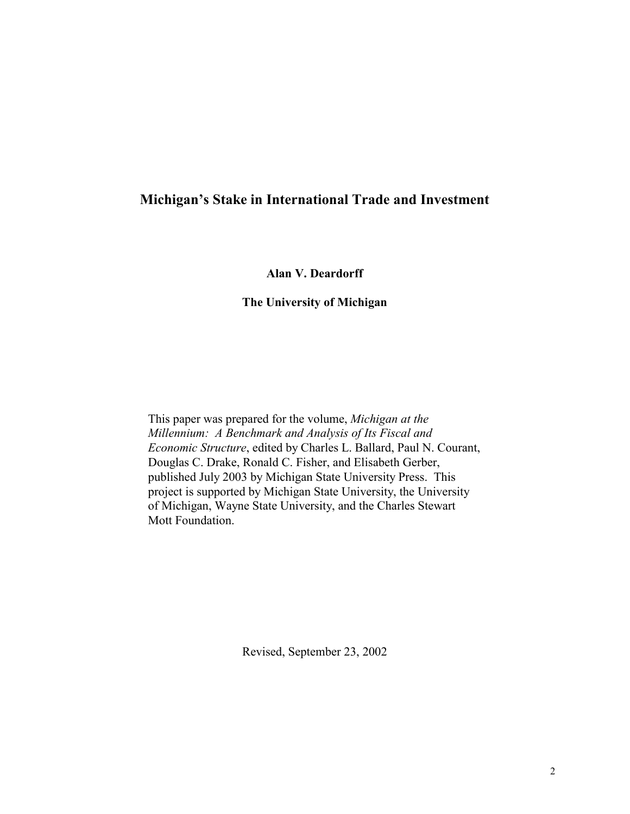# **Michigan's Stake in International Trade and Investment**

**Alan V. Deardorff** 

#### **The University of Michigan**

This paper was prepared for the volume, *Michigan at the Millennium: A Benchmark and Analysis of Its Fiscal and Economic Structure*, edited by Charles L. Ballard, Paul N. Courant, Douglas C. Drake, Ronald C. Fisher, and Elisabeth Gerber, published July 2003 by Michigan State University Press. This project is supported by Michigan State University, the University of Michigan, Wayne State University, and the Charles Stewart Mott Foundation.

Revised, September 23, 2002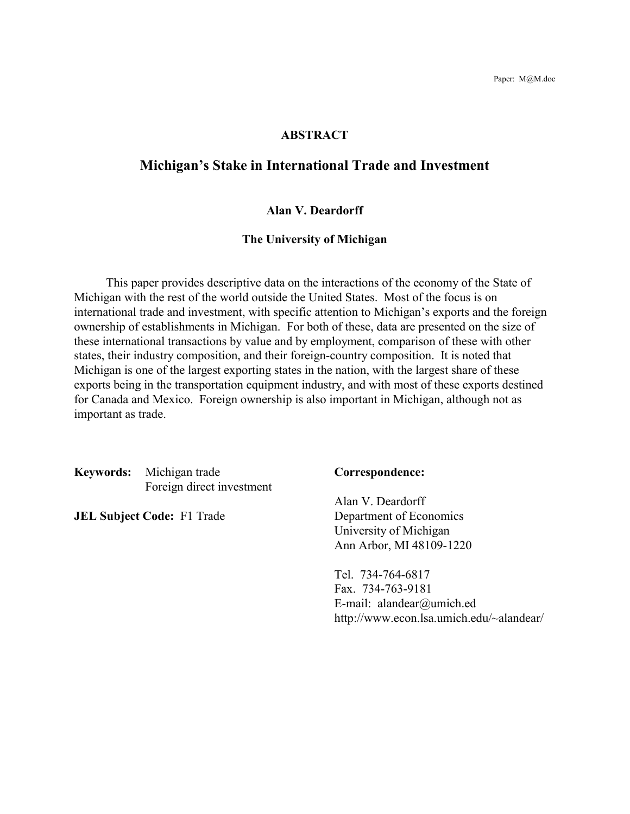### **ABSTRACT**

# **Michigan's Stake in International Trade and Investment**

#### **Alan V. Deardorff**

#### **The University of Michigan**

 This paper provides descriptive data on the interactions of the economy of the State of Michigan with the rest of the world outside the United States. Most of the focus is on international trade and investment, with specific attention to Michigan's exports and the foreign ownership of establishments in Michigan. For both of these, data are presented on the size of these international transactions by value and by employment, comparison of these with other states, their industry composition, and their foreign-country composition. It is noted that Michigan is one of the largest exporting states in the nation, with the largest share of these exports being in the transportation equipment industry, and with most of these exports destined for Canada and Mexico. Foreign ownership is also important in Michigan, although not as important as trade.

**Keywords:** Michigan trade **Correspondence:** Foreign direct investment

**JEL Subject Code:** F1 Trade Department of Economics

 Alan V. Deardorff University of Michigan Ann Arbor, MI 48109-1220

 Tel. 734-764-6817 Fax. 734-763-9181 E-mail: alandear@umich.ed http://www.econ.lsa.umich.edu/~alandear/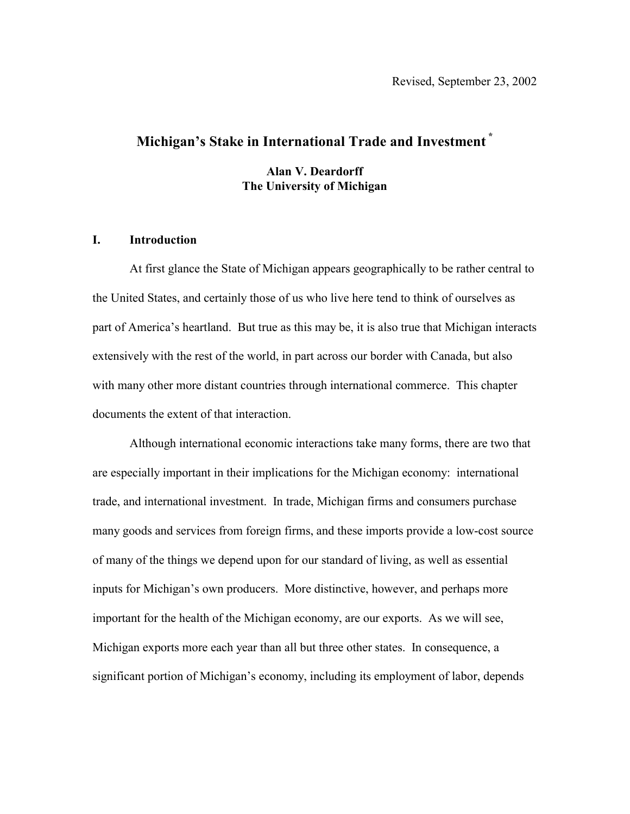# **Michigan's Stake in International Trade and Investment \***

**Alan V. Deardorff The University of Michigan** 

#### **I. Introduction**

At first glance the State of Michigan appears geographically to be rather central to the United States, and certainly those of us who live here tend to think of ourselves as part of America's heartland. But true as this may be, it is also true that Michigan interacts extensively with the rest of the world, in part across our border with Canada, but also with many other more distant countries through international commerce. This chapter documents the extent of that interaction.

Although international economic interactions take many forms, there are two that are especially important in their implications for the Michigan economy: international trade, and international investment. In trade, Michigan firms and consumers purchase many goods and services from foreign firms, and these imports provide a low-cost source of many of the things we depend upon for our standard of living, as well as essential inputs for Michigan's own producers. More distinctive, however, and perhaps more important for the health of the Michigan economy, are our exports. As we will see, Michigan exports more each year than all but three other states. In consequence, a significant portion of Michigan's economy, including its employment of labor, depends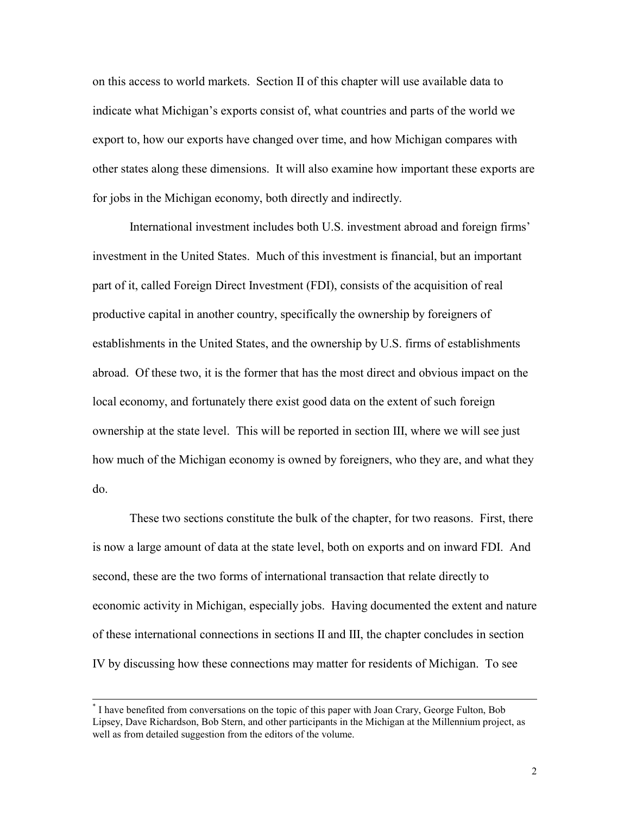on this access to world markets. Section II of this chapter will use available data to indicate what Michigan's exports consist of, what countries and parts of the world we export to, how our exports have changed over time, and how Michigan compares with other states along these dimensions. It will also examine how important these exports are for jobs in the Michigan economy, both directly and indirectly.

International investment includes both U.S. investment abroad and foreign firms' investment in the United States. Much of this investment is financial, but an important part of it, called Foreign Direct Investment (FDI), consists of the acquisition of real productive capital in another country, specifically the ownership by foreigners of establishments in the United States, and the ownership by U.S. firms of establishments abroad. Of these two, it is the former that has the most direct and obvious impact on the local economy, and fortunately there exist good data on the extent of such foreign ownership at the state level. This will be reported in section III, where we will see just how much of the Michigan economy is owned by foreigners, who they are, and what they do.

These two sections constitute the bulk of the chapter, for two reasons. First, there is now a large amount of data at the state level, both on exports and on inward FDI. And second, these are the two forms of international transaction that relate directly to economic activity in Michigan, especially jobs. Having documented the extent and nature of these international connections in sections II and III, the chapter concludes in section IV by discussing how these connections may matter for residents of Michigan. To see

 <sup>\*</sup> I have benefited from conversations on the topic of this paper with Joan Crary, George Fulton, Bob Lipsey, Dave Richardson, Bob Stern, and other participants in the Michigan at the Millennium project, as well as from detailed suggestion from the editors of the volume.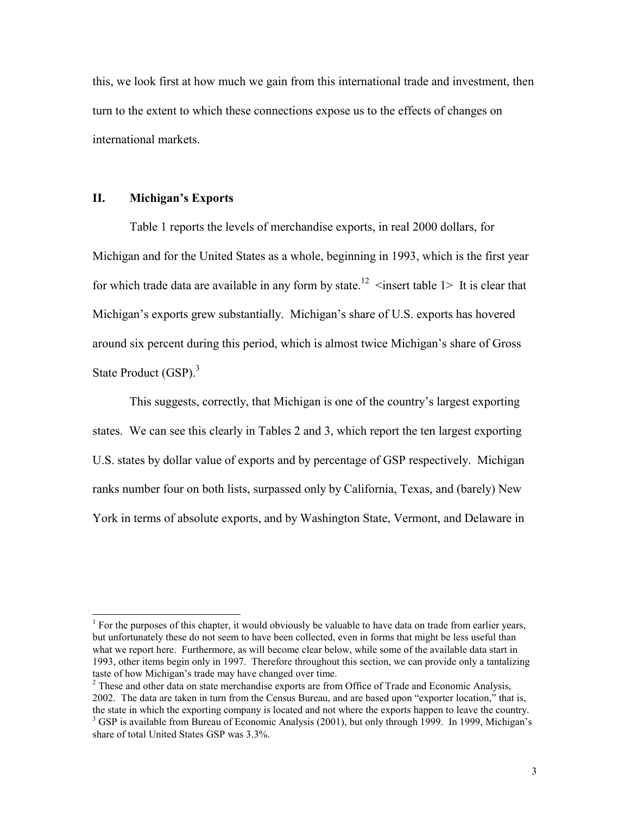this, we look first at how much we gain from this international trade and investment, then turn to the extent to which these connections expose us to the effects of changes on international markets.

#### **II. Michigan's Exports**

 $\overline{a}$ 

Table 1 reports the levels of merchandise exports, in real 2000 dollars, for Michigan and for the United States as a whole, beginning in 1993, which is the first year for which trade data are available in any form by state.<sup>12</sup>  $\leq$  insert table 1> It is clear that Michigan's exports grew substantially. Michigan's share of U.S. exports has hovered around six percent during this period, which is almost twice Michigan's share of Gross State Product (GSP).<sup>3</sup>

This suggests, correctly, that Michigan is one of the country's largest exporting states. We can see this clearly in Tables 2 and 3, which report the ten largest exporting U.S. states by dollar value of exports and by percentage of GSP respectively. Michigan ranks number four on both lists, surpassed only by California, Texas, and (barely) New York in terms of absolute exports, and by Washington State, Vermont, and Delaware in

<sup>&</sup>lt;sup>1</sup> For the purposes of this chapter, it would obviously be valuable to have data on trade from earlier years, but unfortunately these do not seem to have been collected, even in forms that might be less useful than what we report here. Furthermore, as will become clear below, while some of the available data start in 1993, other items begin only in 1997. Therefore throughout this section, we can provide only a tantalizing taste of how Michigan's trade may have changed over time.

 $2^2$  These and other data on state merchandise exports are from Office of Trade and Economic Analysis, 2002. The data are taken in turn from the Census Bureau, and are based upon "exporter location," that is, the state in which the exporting company is located and not where the exports happen to leave the country.

<sup>&</sup>lt;sup>3</sup> GSP is available from Bureau of Economic Analysis (2001), but only through 1999. In 1999, Michigan's share of total United States GSP was 3.3%.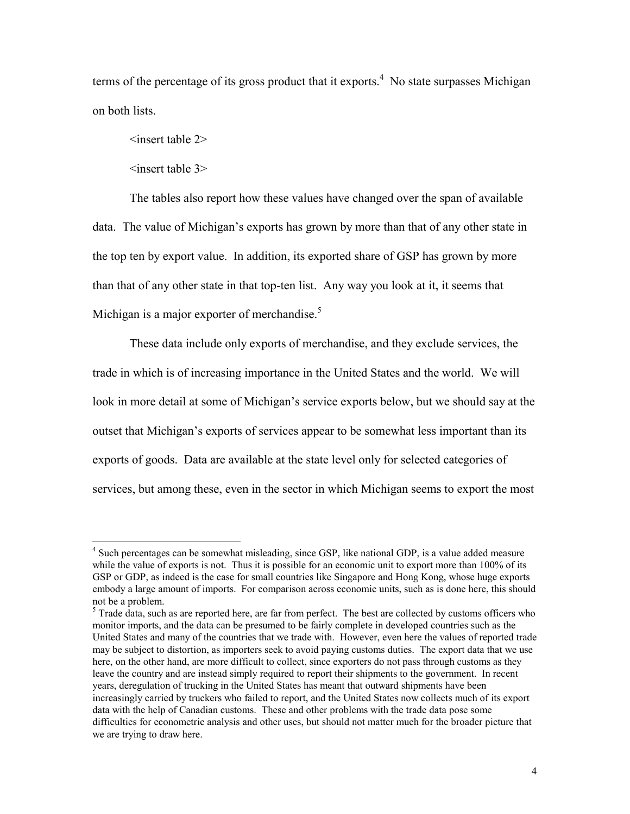terms of the percentage of its gross product that it exports.<sup>4</sup> No state surpasses Michigan on both lists.

<insert table 2>

<insert table 3>

 $\overline{a}$ 

The tables also report how these values have changed over the span of available data. The value of Michigan's exports has grown by more than that of any other state in the top ten by export value. In addition, its exported share of GSP has grown by more than that of any other state in that top-ten list. Any way you look at it, it seems that Michigan is a major exporter of merchandise.<sup>5</sup>

These data include only exports of merchandise, and they exclude services, the trade in which is of increasing importance in the United States and the world. We will look in more detail at some of Michigan's service exports below, but we should say at the outset that Michigan's exports of services appear to be somewhat less important than its exports of goods. Data are available at the state level only for selected categories of services, but among these, even in the sector in which Michigan seems to export the most

<sup>&</sup>lt;sup>4</sup> Such percentages can be somewhat misleading, since GSP, like national GDP, is a value added measure while the value of exports is not. Thus it is possible for an economic unit to export more than 100% of its GSP or GDP, as indeed is the case for small countries like Singapore and Hong Kong, whose huge exports embody a large amount of imports. For comparison across economic units, such as is done here, this should not be a problem.

<sup>&</sup>lt;sup>5</sup> Trade data, such as are reported here, are far from perfect. The best are collected by customs officers who monitor imports, and the data can be presumed to be fairly complete in developed countries such as the United States and many of the countries that we trade with. However, even here the values of reported trade may be subject to distortion, as importers seek to avoid paying customs duties. The export data that we use here, on the other hand, are more difficult to collect, since exporters do not pass through customs as they leave the country and are instead simply required to report their shipments to the government. In recent years, deregulation of trucking in the United States has meant that outward shipments have been increasingly carried by truckers who failed to report, and the United States now collects much of its export data with the help of Canadian customs. These and other problems with the trade data pose some difficulties for econometric analysis and other uses, but should not matter much for the broader picture that we are trying to draw here.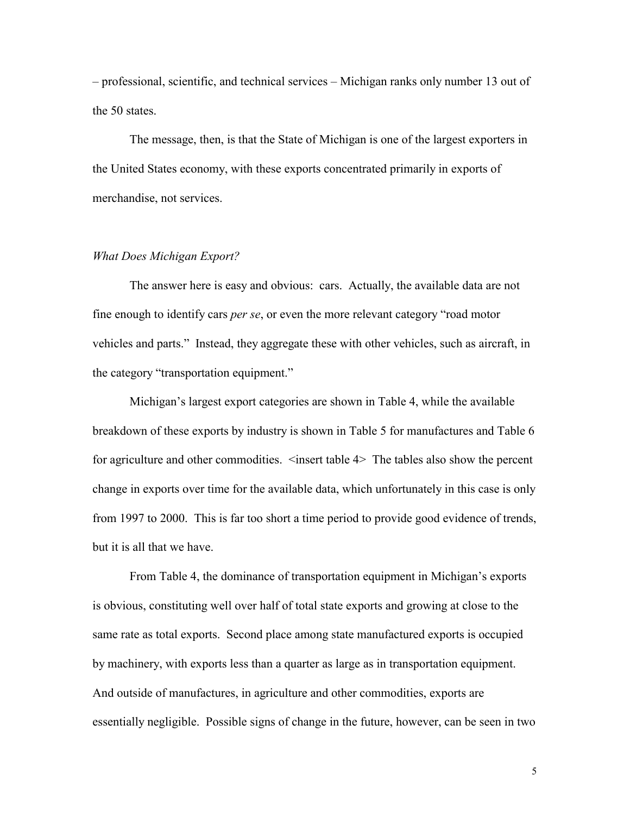– professional, scientific, and technical services – Michigan ranks only number 13 out of the 50 states.

The message, then, is that the State of Michigan is one of the largest exporters in the United States economy, with these exports concentrated primarily in exports of merchandise, not services.

#### *What Does Michigan Export?*

The answer here is easy and obvious: cars. Actually, the available data are not fine enough to identify cars *per se*, or even the more relevant category "road motor vehicles and parts." Instead, they aggregate these with other vehicles, such as aircraft, in the category "transportation equipment."

Michigan's largest export categories are shown in Table 4, while the available breakdown of these exports by industry is shown in Table 5 for manufactures and Table 6 for agriculture and other commodities.  $\leq$  insert table 4> The tables also show the percent change in exports over time for the available data, which unfortunately in this case is only from 1997 to 2000. This is far too short a time period to provide good evidence of trends, but it is all that we have.

From Table 4, the dominance of transportation equipment in Michigan's exports is obvious, constituting well over half of total state exports and growing at close to the same rate as total exports. Second place among state manufactured exports is occupied by machinery, with exports less than a quarter as large as in transportation equipment. And outside of manufactures, in agriculture and other commodities, exports are essentially negligible. Possible signs of change in the future, however, can be seen in two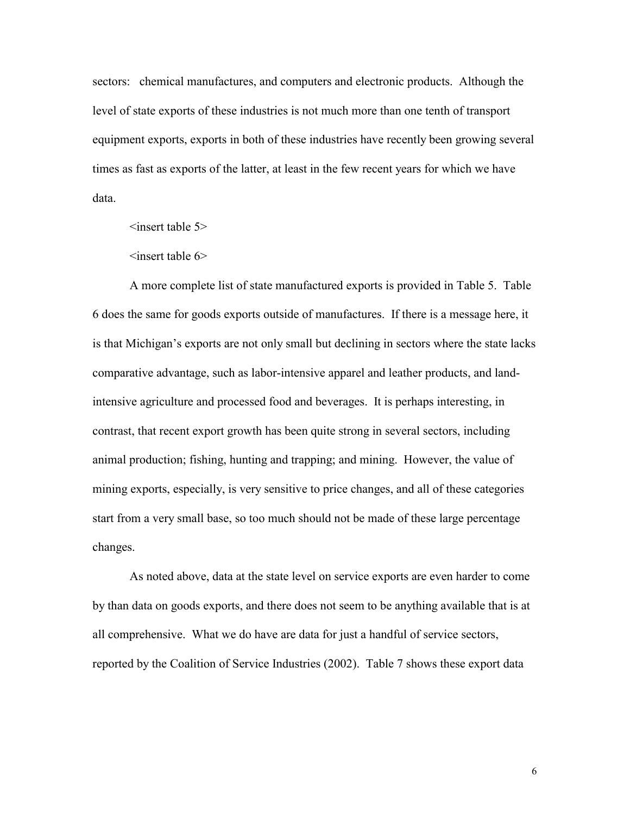sectors: chemical manufactures, and computers and electronic products. Although the level of state exports of these industries is not much more than one tenth of transport equipment exports, exports in both of these industries have recently been growing several times as fast as exports of the latter, at least in the few recent years for which we have data.

 $\leq$ insert table 5 $>$ 

 $\leq$ insert table 6>

A more complete list of state manufactured exports is provided in Table 5. Table 6 does the same for goods exports outside of manufactures. If there is a message here, it is that Michigan's exports are not only small but declining in sectors where the state lacks comparative advantage, such as labor-intensive apparel and leather products, and landintensive agriculture and processed food and beverages. It is perhaps interesting, in contrast, that recent export growth has been quite strong in several sectors, including animal production; fishing, hunting and trapping; and mining. However, the value of mining exports, especially, is very sensitive to price changes, and all of these categories start from a very small base, so too much should not be made of these large percentage changes.

As noted above, data at the state level on service exports are even harder to come by than data on goods exports, and there does not seem to be anything available that is at all comprehensive. What we do have are data for just a handful of service sectors, reported by the Coalition of Service Industries (2002). Table 7 shows these export data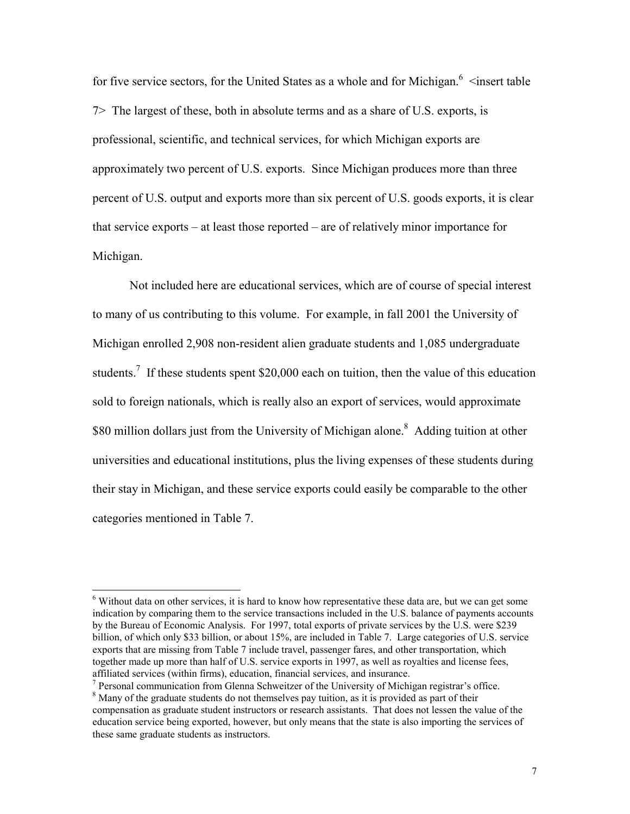for five service sectors, for the United States as a whole and for Michigan. $6$  <insert table 7> The largest of these, both in absolute terms and as a share of U.S. exports, is professional, scientific, and technical services, for which Michigan exports are approximately two percent of U.S. exports. Since Michigan produces more than three percent of U.S. output and exports more than six percent of U.S. goods exports, it is clear that service exports – at least those reported – are of relatively minor importance for Michigan.

Not included here are educational services, which are of course of special interest to many of us contributing to this volume. For example, in fall 2001 the University of Michigan enrolled 2,908 non-resident alien graduate students and 1,085 undergraduate students.<sup>7</sup> If these students spent \$20,000 each on tuition, then the value of this education sold to foreign nationals, which is really also an export of services, would approximate \$80 million dollars just from the University of Michigan alone.<sup>8</sup> Adding tuition at other universities and educational institutions, plus the living expenses of these students during their stay in Michigan, and these service exports could easily be comparable to the other categories mentioned in Table 7.

 $\overline{a}$ 

 $6$  Without data on other services, it is hard to know how representative these data are, but we can get some indication by comparing them to the service transactions included in the U.S. balance of payments accounts by the Bureau of Economic Analysis. For 1997, total exports of private services by the U.S. were \$239 billion, of which only \$33 billion, or about 15%, are included in Table 7. Large categories of U.S. service exports that are missing from Table 7 include travel, passenger fares, and other transportation, which together made up more than half of U.S. service exports in 1997, as well as royalties and license fees, affiliated services (within firms), education, financial services, and insurance.

 $<sup>7</sup>$  Personal communication from Glenna Schweitzer of the University of Michigan registrar's office.</sup>

 $8$  Many of the graduate students do not themselves pay tuition, as it is provided as part of their compensation as graduate student instructors or research assistants. That does not lessen the value of the education service being exported, however, but only means that the state is also importing the services of these same graduate students as instructors.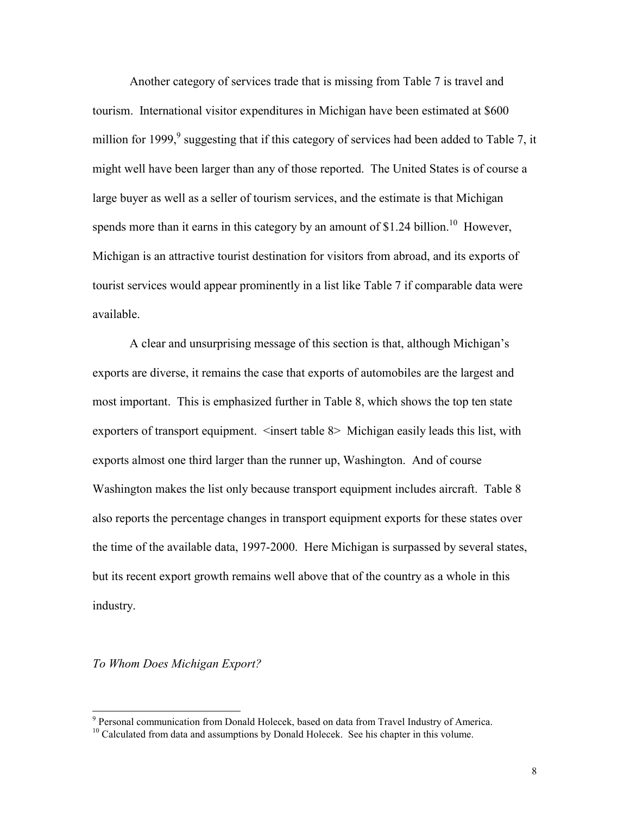Another category of services trade that is missing from Table 7 is travel and tourism. International visitor expenditures in Michigan have been estimated at \$600 million for 1999,<sup>9</sup> suggesting that if this category of services had been added to Table 7, it might well have been larger than any of those reported. The United States is of course a large buyer as well as a seller of tourism services, and the estimate is that Michigan spends more than it earns in this category by an amount of \$1.24 billion.<sup>10</sup> However, Michigan is an attractive tourist destination for visitors from abroad, and its exports of tourist services would appear prominently in a list like Table 7 if comparable data were available.

A clear and unsurprising message of this section is that, although Michigan's exports are diverse, it remains the case that exports of automobiles are the largest and most important. This is emphasized further in Table 8, which shows the top ten state exporters of transport equipment. <insert table 8> Michigan easily leads this list, with exports almost one third larger than the runner up, Washington. And of course Washington makes the list only because transport equipment includes aircraft. Table 8 also reports the percentage changes in transport equipment exports for these states over the time of the available data, 1997-2000. Here Michigan is surpassed by several states, but its recent export growth remains well above that of the country as a whole in this industry.

*To Whom Does Michigan Export?* 

 9

 $P<sup>10</sup>$  Calculated from data and assumptions by Donald Holecek. See his chapter in this volume.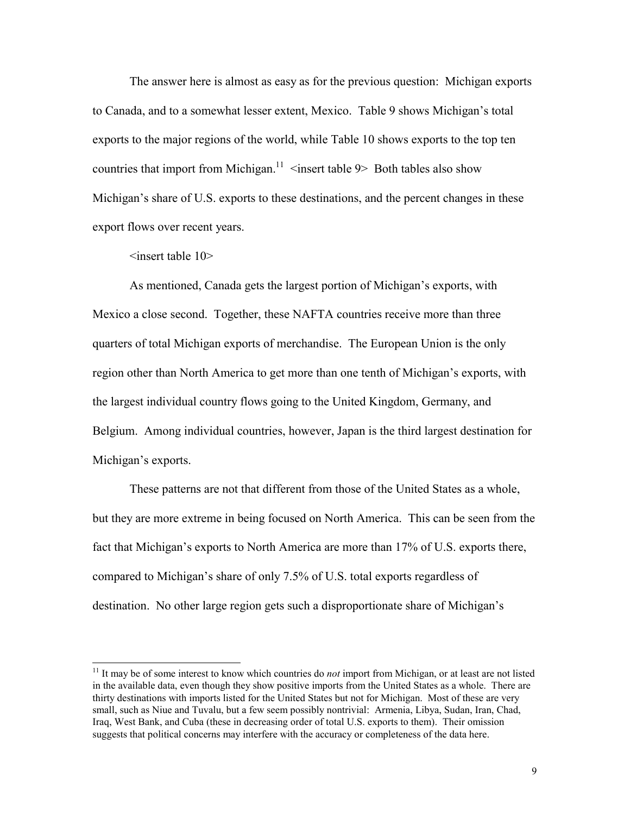The answer here is almost as easy as for the previous question: Michigan exports to Canada, and to a somewhat lesser extent, Mexico. Table 9 shows Michigan's total exports to the major regions of the world, while Table 10 shows exports to the top ten countries that import from Michigan.<sup>11</sup>  $\leq$  insert table 9> Both tables also show Michigan's share of U.S. exports to these destinations, and the percent changes in these export flows over recent years.

 $\leq$ insert table 10 $>$ 

 $\overline{a}$ 

As mentioned, Canada gets the largest portion of Michigan's exports, with Mexico a close second. Together, these NAFTA countries receive more than three quarters of total Michigan exports of merchandise. The European Union is the only region other than North America to get more than one tenth of Michigan's exports, with the largest individual country flows going to the United Kingdom, Germany, and Belgium. Among individual countries, however, Japan is the third largest destination for Michigan's exports.

These patterns are not that different from those of the United States as a whole, but they are more extreme in being focused on North America. This can be seen from the fact that Michigan's exports to North America are more than 17% of U.S. exports there, compared to Michigan's share of only 7.5% of U.S. total exports regardless of destination. No other large region gets such a disproportionate share of Michigan's

<sup>&</sup>lt;sup>11</sup> It may be of some interest to know which countries do *not* import from Michigan, or at least are not listed in the available data, even though they show positive imports from the United States as a whole. There are thirty destinations with imports listed for the United States but not for Michigan. Most of these are very small, such as Niue and Tuvalu, but a few seem possibly nontrivial: Armenia, Libya, Sudan, Iran, Chad, Iraq, West Bank, and Cuba (these in decreasing order of total U.S. exports to them). Their omission suggests that political concerns may interfere with the accuracy or completeness of the data here.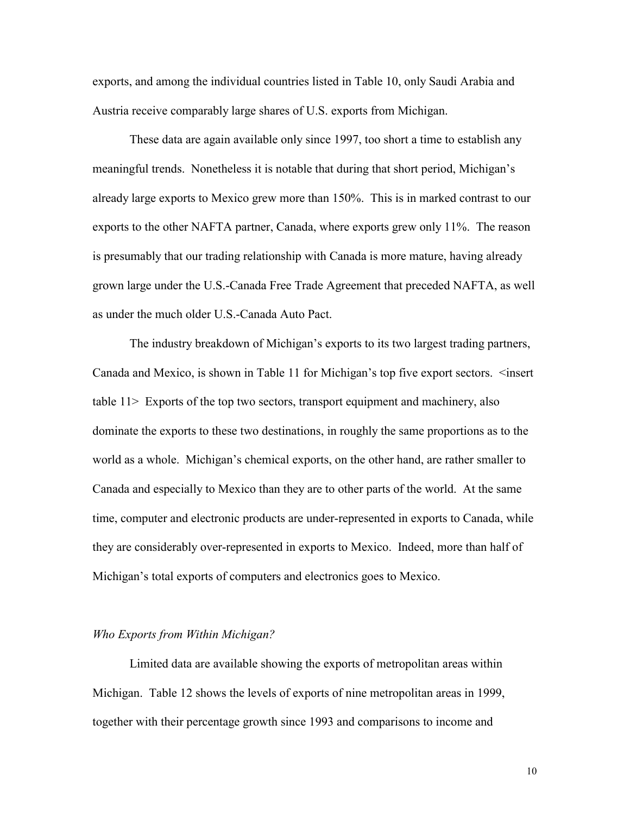exports, and among the individual countries listed in Table 10, only Saudi Arabia and Austria receive comparably large shares of U.S. exports from Michigan.

These data are again available only since 1997, too short a time to establish any meaningful trends. Nonetheless it is notable that during that short period, Michigan's already large exports to Mexico grew more than 150%. This is in marked contrast to our exports to the other NAFTA partner, Canada, where exports grew only 11%. The reason is presumably that our trading relationship with Canada is more mature, having already grown large under the U.S.-Canada Free Trade Agreement that preceded NAFTA, as well as under the much older U.S.-Canada Auto Pact.

The industry breakdown of Michigan's exports to its two largest trading partners, Canada and Mexico, is shown in Table 11 for Michigan's top five export sectors. <insert table 11> Exports of the top two sectors, transport equipment and machinery, also dominate the exports to these two destinations, in roughly the same proportions as to the world as a whole. Michigan's chemical exports, on the other hand, are rather smaller to Canada and especially to Mexico than they are to other parts of the world. At the same time, computer and electronic products are under-represented in exports to Canada, while they are considerably over-represented in exports to Mexico. Indeed, more than half of Michigan's total exports of computers and electronics goes to Mexico.

#### *Who Exports from Within Michigan?*

Limited data are available showing the exports of metropolitan areas within Michigan. Table 12 shows the levels of exports of nine metropolitan areas in 1999, together with their percentage growth since 1993 and comparisons to income and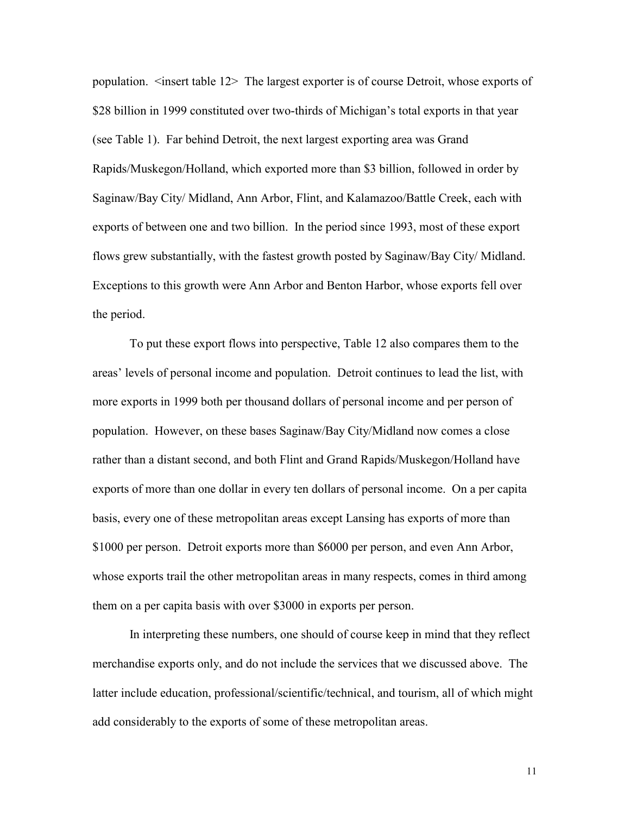population. <insert table 12> The largest exporter is of course Detroit, whose exports of \$28 billion in 1999 constituted over two-thirds of Michigan's total exports in that year (see Table 1). Far behind Detroit, the next largest exporting area was Grand Rapids/Muskegon/Holland, which exported more than \$3 billion, followed in order by Saginaw/Bay City/ Midland, Ann Arbor, Flint, and Kalamazoo/Battle Creek, each with exports of between one and two billion. In the period since 1993, most of these export flows grew substantially, with the fastest growth posted by Saginaw/Bay City/ Midland. Exceptions to this growth were Ann Arbor and Benton Harbor, whose exports fell over the period.

To put these export flows into perspective, Table 12 also compares them to the areas' levels of personal income and population. Detroit continues to lead the list, with more exports in 1999 both per thousand dollars of personal income and per person of population. However, on these bases Saginaw/Bay City/Midland now comes a close rather than a distant second, and both Flint and Grand Rapids/Muskegon/Holland have exports of more than one dollar in every ten dollars of personal income. On a per capita basis, every one of these metropolitan areas except Lansing has exports of more than \$1000 per person. Detroit exports more than \$6000 per person, and even Ann Arbor, whose exports trail the other metropolitan areas in many respects, comes in third among them on a per capita basis with over \$3000 in exports per person.

In interpreting these numbers, one should of course keep in mind that they reflect merchandise exports only, and do not include the services that we discussed above. The latter include education, professional/scientific/technical, and tourism, all of which might add considerably to the exports of some of these metropolitan areas.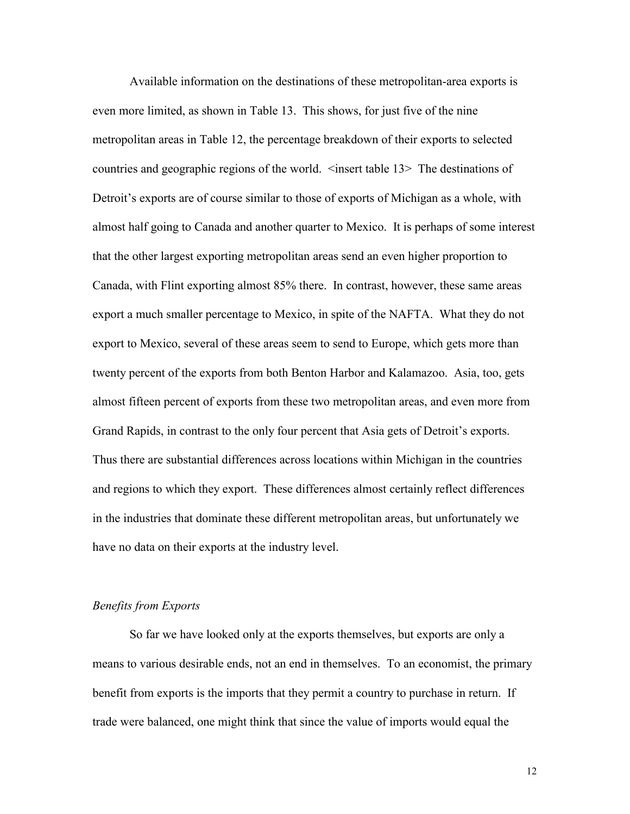Available information on the destinations of these metropolitan-area exports is even more limited, as shown in Table 13. This shows, for just five of the nine metropolitan areas in Table 12, the percentage breakdown of their exports to selected countries and geographic regions of the world. <insert table 13> The destinations of Detroit's exports are of course similar to those of exports of Michigan as a whole, with almost half going to Canada and another quarter to Mexico. It is perhaps of some interest that the other largest exporting metropolitan areas send an even higher proportion to Canada, with Flint exporting almost 85% there. In contrast, however, these same areas export a much smaller percentage to Mexico, in spite of the NAFTA. What they do not export to Mexico, several of these areas seem to send to Europe, which gets more than twenty percent of the exports from both Benton Harbor and Kalamazoo. Asia, too, gets almost fifteen percent of exports from these two metropolitan areas, and even more from Grand Rapids, in contrast to the only four percent that Asia gets of Detroit's exports. Thus there are substantial differences across locations within Michigan in the countries and regions to which they export. These differences almost certainly reflect differences in the industries that dominate these different metropolitan areas, but unfortunately we have no data on their exports at the industry level.

#### *Benefits from Exports*

So far we have looked only at the exports themselves, but exports are only a means to various desirable ends, not an end in themselves. To an economist, the primary benefit from exports is the imports that they permit a country to purchase in return. If trade were balanced, one might think that since the value of imports would equal the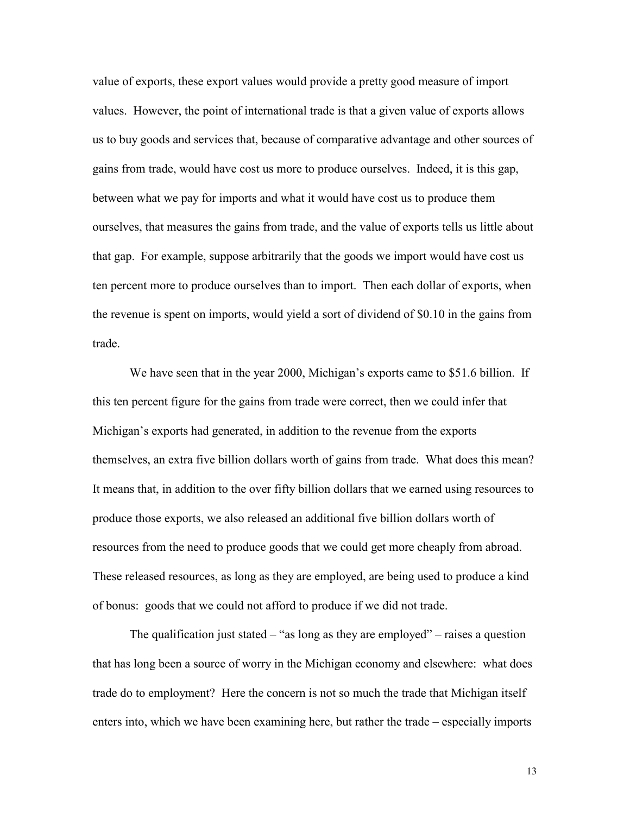value of exports, these export values would provide a pretty good measure of import values. However, the point of international trade is that a given value of exports allows us to buy goods and services that, because of comparative advantage and other sources of gains from trade, would have cost us more to produce ourselves. Indeed, it is this gap, between what we pay for imports and what it would have cost us to produce them ourselves, that measures the gains from trade, and the value of exports tells us little about that gap. For example, suppose arbitrarily that the goods we import would have cost us ten percent more to produce ourselves than to import. Then each dollar of exports, when the revenue is spent on imports, would yield a sort of dividend of \$0.10 in the gains from trade.

We have seen that in the year 2000, Michigan's exports came to \$51.6 billion. If this ten percent figure for the gains from trade were correct, then we could infer that Michigan's exports had generated, in addition to the revenue from the exports themselves, an extra five billion dollars worth of gains from trade. What does this mean? It means that, in addition to the over fifty billion dollars that we earned using resources to produce those exports, we also released an additional five billion dollars worth of resources from the need to produce goods that we could get more cheaply from abroad. These released resources, as long as they are employed, are being used to produce a kind of bonus: goods that we could not afford to produce if we did not trade.

The qualification just stated  $-$  "as long as they are employed" – raises a question that has long been a source of worry in the Michigan economy and elsewhere: what does trade do to employment? Here the concern is not so much the trade that Michigan itself enters into, which we have been examining here, but rather the trade – especially imports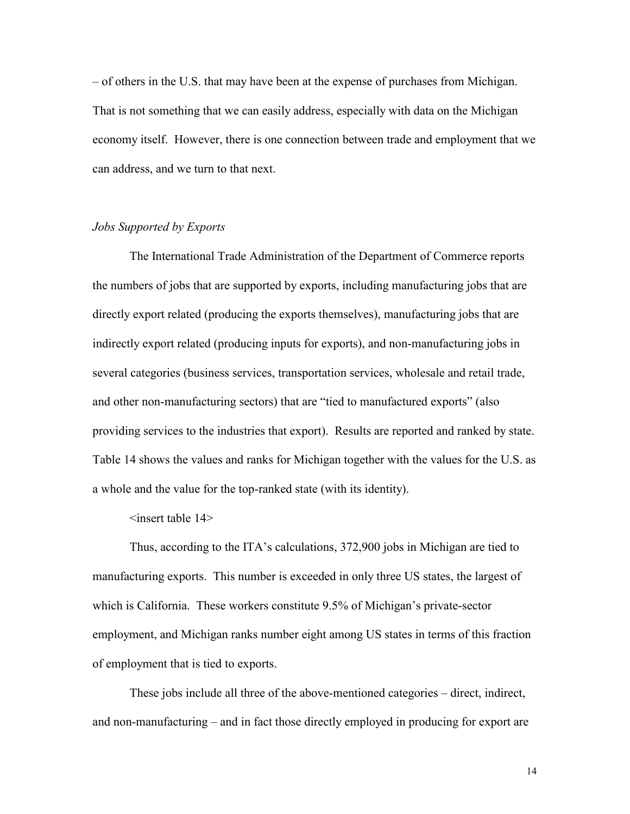– of others in the U.S. that may have been at the expense of purchases from Michigan. That is not something that we can easily address, especially with data on the Michigan economy itself. However, there is one connection between trade and employment that we can address, and we turn to that next.

#### *Jobs Supported by Exports*

The International Trade Administration of the Department of Commerce reports the numbers of jobs that are supported by exports, including manufacturing jobs that are directly export related (producing the exports themselves), manufacturing jobs that are indirectly export related (producing inputs for exports), and non-manufacturing jobs in several categories (business services, transportation services, wholesale and retail trade, and other non-manufacturing sectors) that are "tied to manufactured exports" (also providing services to the industries that export). Results are reported and ranked by state. Table 14 shows the values and ranks for Michigan together with the values for the U.S. as a whole and the value for the top-ranked state (with its identity).

<insert table 14>

Thus, according to the ITA's calculations, 372,900 jobs in Michigan are tied to manufacturing exports. This number is exceeded in only three US states, the largest of which is California. These workers constitute 9.5% of Michigan's private-sector employment, and Michigan ranks number eight among US states in terms of this fraction of employment that is tied to exports.

These jobs include all three of the above-mentioned categories – direct, indirect, and non-manufacturing – and in fact those directly employed in producing for export are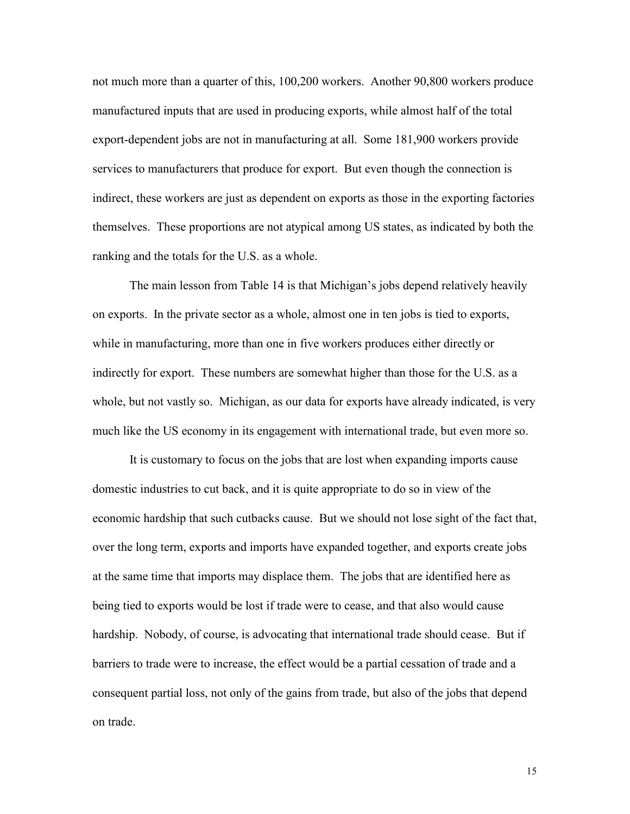not much more than a quarter of this, 100,200 workers. Another 90,800 workers produce manufactured inputs that are used in producing exports, while almost half of the total export-dependent jobs are not in manufacturing at all. Some 181,900 workers provide services to manufacturers that produce for export. But even though the connection is indirect, these workers are just as dependent on exports as those in the exporting factories themselves. These proportions are not atypical among US states, as indicated by both the ranking and the totals for the U.S. as a whole.

The main lesson from Table 14 is that Michigan's jobs depend relatively heavily on exports. In the private sector as a whole, almost one in ten jobs is tied to exports, while in manufacturing, more than one in five workers produces either directly or indirectly for export. These numbers are somewhat higher than those for the U.S. as a whole, but not vastly so. Michigan, as our data for exports have already indicated, is very much like the US economy in its engagement with international trade, but even more so.

It is customary to focus on the jobs that are lost when expanding imports cause domestic industries to cut back, and it is quite appropriate to do so in view of the economic hardship that such cutbacks cause. But we should not lose sight of the fact that, over the long term, exports and imports have expanded together, and exports create jobs at the same time that imports may displace them. The jobs that are identified here as being tied to exports would be lost if trade were to cease, and that also would cause hardship. Nobody, of course, is advocating that international trade should cease. But if barriers to trade were to increase, the effect would be a partial cessation of trade and a consequent partial loss, not only of the gains from trade, but also of the jobs that depend on trade.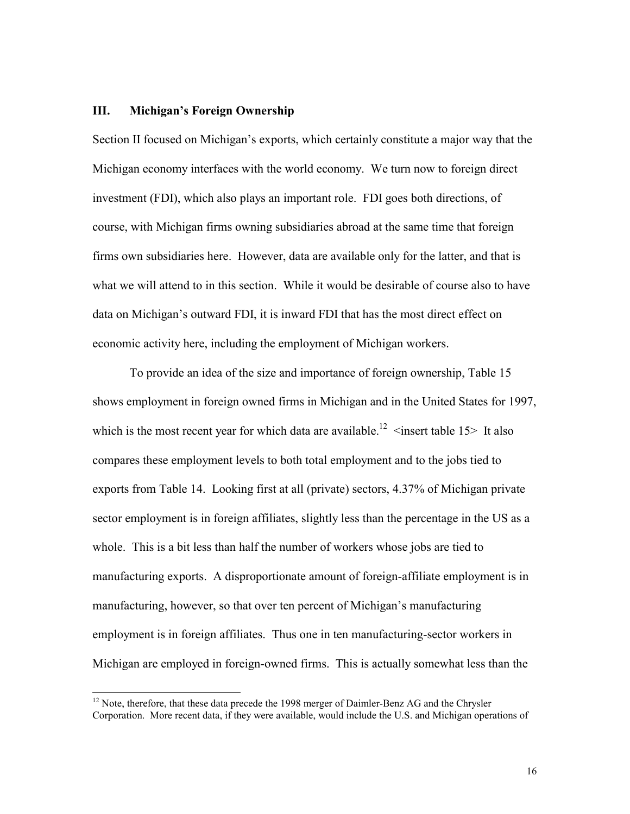#### **III. Michigan's Foreign Ownership**

 $\overline{a}$ 

Section II focused on Michigan's exports, which certainly constitute a major way that the Michigan economy interfaces with the world economy. We turn now to foreign direct investment (FDI), which also plays an important role. FDI goes both directions, of course, with Michigan firms owning subsidiaries abroad at the same time that foreign firms own subsidiaries here. However, data are available only for the latter, and that is what we will attend to in this section. While it would be desirable of course also to have data on Michigan's outward FDI, it is inward FDI that has the most direct effect on economic activity here, including the employment of Michigan workers.

To provide an idea of the size and importance of foreign ownership, Table 15 shows employment in foreign owned firms in Michigan and in the United States for 1997, which is the most recent year for which data are available.<sup>12</sup>  $\leq$  insert table 15> It also compares these employment levels to both total employment and to the jobs tied to exports from Table 14. Looking first at all (private) sectors, 4.37% of Michigan private sector employment is in foreign affiliates, slightly less than the percentage in the US as a whole. This is a bit less than half the number of workers whose jobs are tied to manufacturing exports. A disproportionate amount of foreign-affiliate employment is in manufacturing, however, so that over ten percent of Michigan's manufacturing employment is in foreign affiliates. Thus one in ten manufacturing-sector workers in Michigan are employed in foreign-owned firms. This is actually somewhat less than the

 $12$  Note, therefore, that these data precede the 1998 merger of Daimler-Benz AG and the Chrysler Corporation. More recent data, if they were available, would include the U.S. and Michigan operations of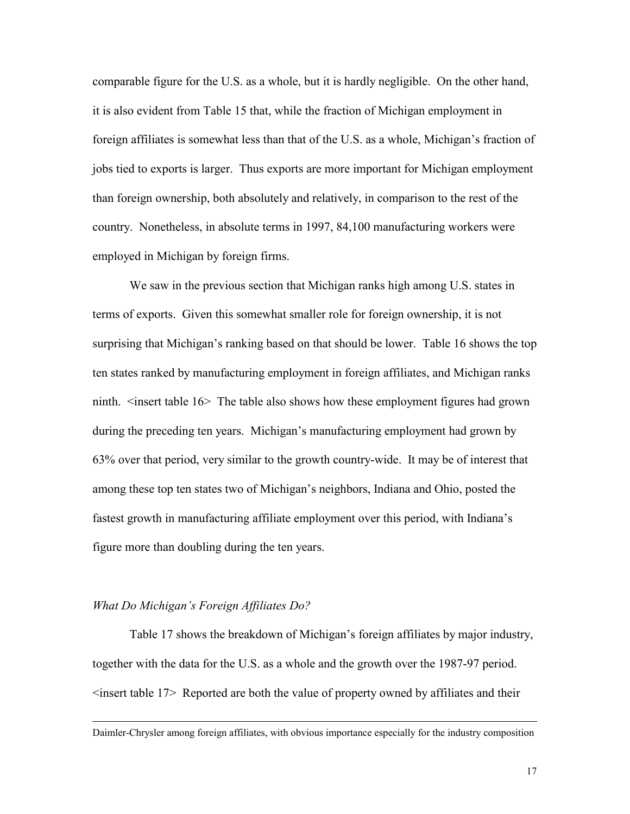comparable figure for the U.S. as a whole, but it is hardly negligible. On the other hand, it is also evident from Table 15 that, while the fraction of Michigan employment in foreign affiliates is somewhat less than that of the U.S. as a whole, Michigan's fraction of jobs tied to exports is larger. Thus exports are more important for Michigan employment than foreign ownership, both absolutely and relatively, in comparison to the rest of the country. Nonetheless, in absolute terms in 1997, 84,100 manufacturing workers were employed in Michigan by foreign firms.

We saw in the previous section that Michigan ranks high among U.S. states in terms of exports. Given this somewhat smaller role for foreign ownership, it is not surprising that Michigan's ranking based on that should be lower. Table 16 shows the top ten states ranked by manufacturing employment in foreign affiliates, and Michigan ranks ninth. <insert table 16> The table also shows how these employment figures had grown during the preceding ten years. Michigan's manufacturing employment had grown by 63% over that period, very similar to the growth country-wide. It may be of interest that among these top ten states two of Michigan's neighbors, Indiana and Ohio, posted the fastest growth in manufacturing affiliate employment over this period, with Indiana's figure more than doubling during the ten years.

#### *What Do Michigan's Foreign Affiliates Do?*

 $\overline{a}$ 

Table 17 shows the breakdown of Michigan's foreign affiliates by major industry, together with the data for the U.S. as a whole and the growth over the 1987-97 period.  $\le$ insert table 17> Reported are both the value of property owned by affiliates and their

Daimler-Chrysler among foreign affiliates, with obvious importance especially for the industry composition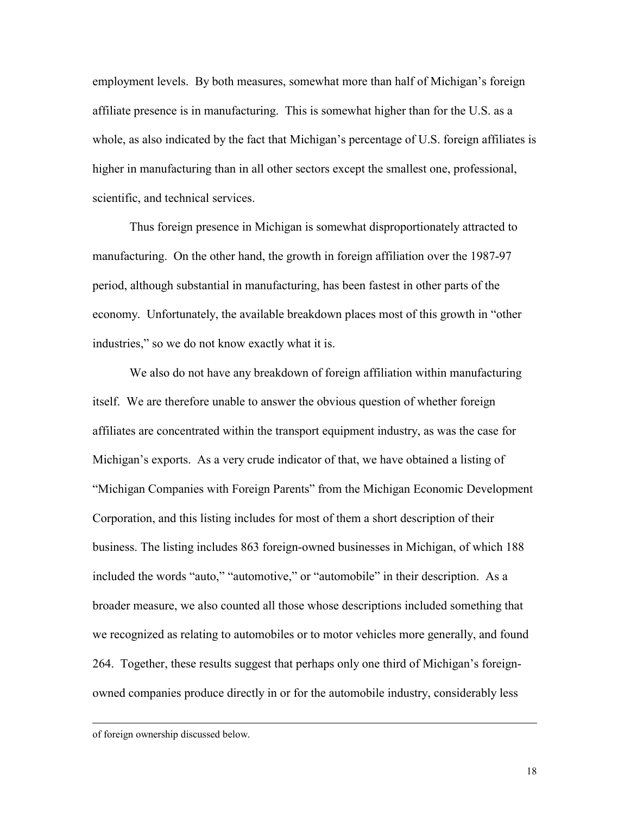employment levels. By both measures, somewhat more than half of Michigan's foreign affiliate presence is in manufacturing. This is somewhat higher than for the U.S. as a whole, as also indicated by the fact that Michigan's percentage of U.S. foreign affiliates is higher in manufacturing than in all other sectors except the smallest one, professional, scientific, and technical services.

Thus foreign presence in Michigan is somewhat disproportionately attracted to manufacturing. On the other hand, the growth in foreign affiliation over the 1987-97 period, although substantial in manufacturing, has been fastest in other parts of the economy. Unfortunately, the available breakdown places most of this growth in "other industries," so we do not know exactly what it is.

We also do not have any breakdown of foreign affiliation within manufacturing itself. We are therefore unable to answer the obvious question of whether foreign affiliates are concentrated within the transport equipment industry, as was the case for Michigan's exports. As a very crude indicator of that, we have obtained a listing of "Michigan Companies with Foreign Parents" from the Michigan Economic Development Corporation, and this listing includes for most of them a short description of their business. The listing includes 863 foreign-owned businesses in Michigan, of which 188 included the words "auto," "automotive," or "automobile" in their description. As a broader measure, we also counted all those whose descriptions included something that we recognized as relating to automobiles or to motor vehicles more generally, and found 264. Together, these results suggest that perhaps only one third of Michigan's foreignowned companies produce directly in or for the automobile industry, considerably less

 $\overline{a}$ 

of foreign ownership discussed below.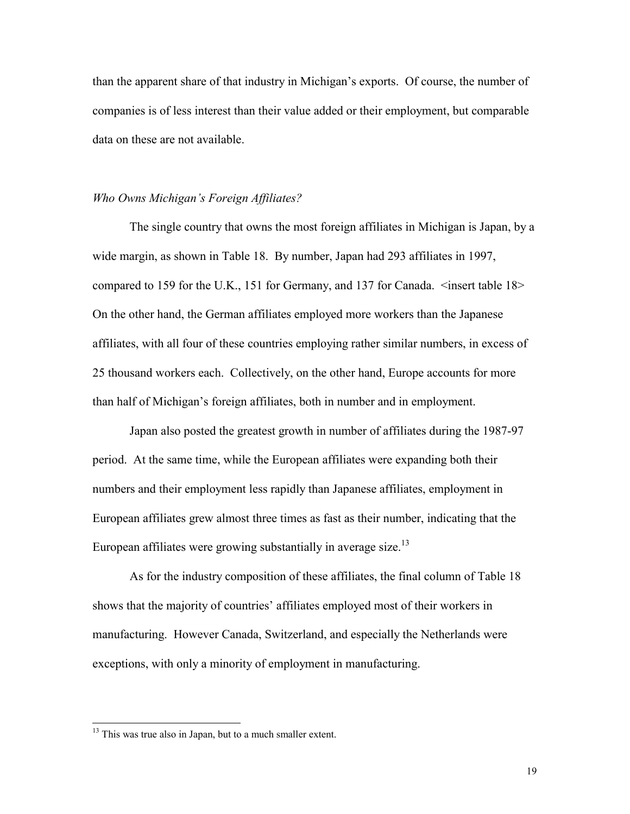than the apparent share of that industry in Michigan's exports. Of course, the number of companies is of less interest than their value added or their employment, but comparable data on these are not available.

### *Who Owns Michigan's Foreign Affiliates?*

The single country that owns the most foreign affiliates in Michigan is Japan, by a wide margin, as shown in Table 18. By number, Japan had 293 affiliates in 1997, compared to 159 for the U.K., 151 for Germany, and 137 for Canada. <insert table 18> On the other hand, the German affiliates employed more workers than the Japanese affiliates, with all four of these countries employing rather similar numbers, in excess of 25 thousand workers each. Collectively, on the other hand, Europe accounts for more than half of Michigan's foreign affiliates, both in number and in employment.

Japan also posted the greatest growth in number of affiliates during the 1987-97 period. At the same time, while the European affiliates were expanding both their numbers and their employment less rapidly than Japanese affiliates, employment in European affiliates grew almost three times as fast as their number, indicating that the European affiliates were growing substantially in average size.<sup>13</sup>

As for the industry composition of these affiliates, the final column of Table 18 shows that the majority of countries' affiliates employed most of their workers in manufacturing. However Canada, Switzerland, and especially the Netherlands were exceptions, with only a minority of employment in manufacturing.

 $\overline{a}$ 

<sup>&</sup>lt;sup>13</sup> This was true also in Japan, but to a much smaller extent.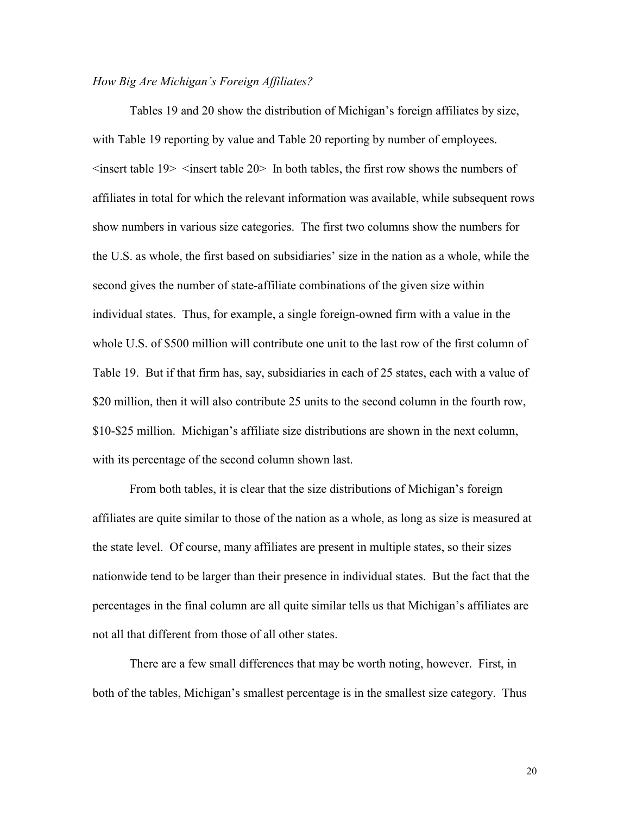#### *How Big Are Michigan's Foreign Affiliates?*

Tables 19 and 20 show the distribution of Michigan's foreign affiliates by size, with Table 19 reporting by value and Table 20 reporting by number of employees.  $\leq$ insert table 19 $>$   $\leq$ insert table 20 $>$  In both tables, the first row shows the numbers of affiliates in total for which the relevant information was available, while subsequent rows show numbers in various size categories. The first two columns show the numbers for the U.S. as whole, the first based on subsidiaries' size in the nation as a whole, while the second gives the number of state-affiliate combinations of the given size within individual states. Thus, for example, a single foreign-owned firm with a value in the whole U.S. of \$500 million will contribute one unit to the last row of the first column of Table 19. But if that firm has, say, subsidiaries in each of 25 states, each with a value of \$20 million, then it will also contribute 25 units to the second column in the fourth row, \$10-\$25 million. Michigan's affiliate size distributions are shown in the next column, with its percentage of the second column shown last.

From both tables, it is clear that the size distributions of Michigan's foreign affiliates are quite similar to those of the nation as a whole, as long as size is measured at the state level. Of course, many affiliates are present in multiple states, so their sizes nationwide tend to be larger than their presence in individual states. But the fact that the percentages in the final column are all quite similar tells us that Michigan's affiliates are not all that different from those of all other states.

There are a few small differences that may be worth noting, however. First, in both of the tables, Michigan's smallest percentage is in the smallest size category. Thus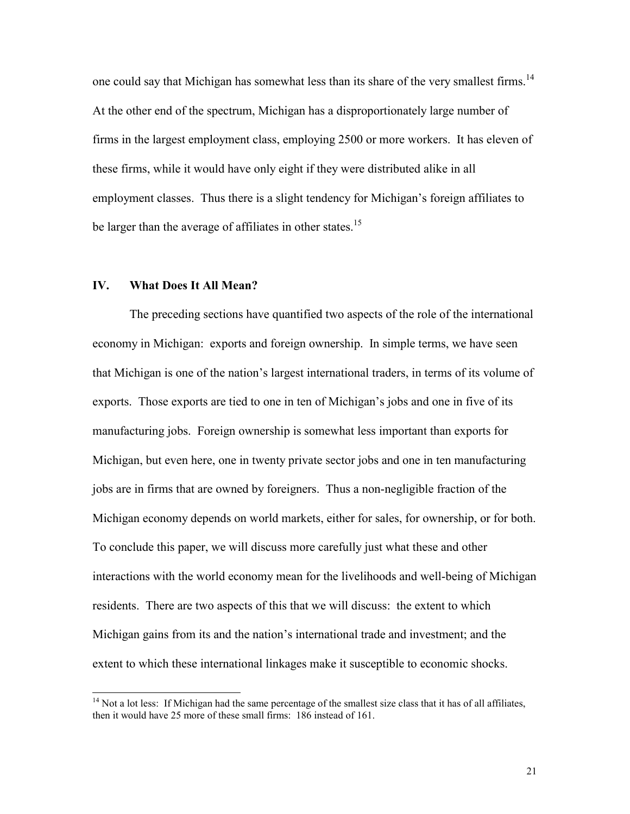one could say that Michigan has somewhat less than its share of the very smallest firms.<sup>14</sup> At the other end of the spectrum, Michigan has a disproportionately large number of firms in the largest employment class, employing 2500 or more workers. It has eleven of these firms, while it would have only eight if they were distributed alike in all employment classes. Thus there is a slight tendency for Michigan's foreign affiliates to be larger than the average of affiliates in other states.<sup>15</sup>

#### **IV. What Does It All Mean?**

 $\overline{a}$ 

The preceding sections have quantified two aspects of the role of the international economy in Michigan: exports and foreign ownership. In simple terms, we have seen that Michigan is one of the nation's largest international traders, in terms of its volume of exports. Those exports are tied to one in ten of Michigan's jobs and one in five of its manufacturing jobs. Foreign ownership is somewhat less important than exports for Michigan, but even here, one in twenty private sector jobs and one in ten manufacturing jobs are in firms that are owned by foreigners. Thus a non-negligible fraction of the Michigan economy depends on world markets, either for sales, for ownership, or for both. To conclude this paper, we will discuss more carefully just what these and other interactions with the world economy mean for the livelihoods and well-being of Michigan residents. There are two aspects of this that we will discuss: the extent to which Michigan gains from its and the nation's international trade and investment; and the extent to which these international linkages make it susceptible to economic shocks.

 $14$  Not a lot less: If Michigan had the same percentage of the smallest size class that it has of all affiliates, then it would have 25 more of these small firms: 186 instead of 161.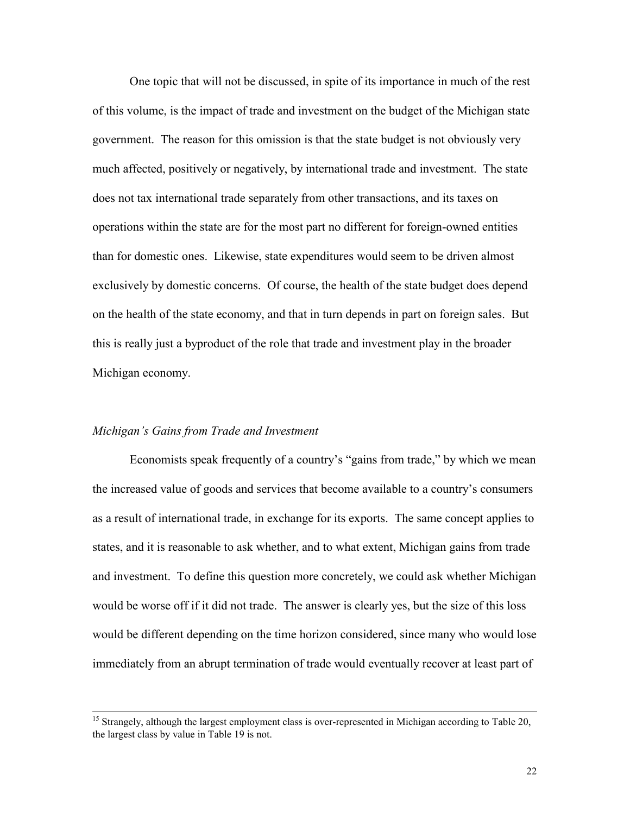One topic that will not be discussed, in spite of its importance in much of the rest of this volume, is the impact of trade and investment on the budget of the Michigan state government. The reason for this omission is that the state budget is not obviously very much affected, positively or negatively, by international trade and investment. The state does not tax international trade separately from other transactions, and its taxes on operations within the state are for the most part no different for foreign-owned entities than for domestic ones. Likewise, state expenditures would seem to be driven almost exclusively by domestic concerns. Of course, the health of the state budget does depend on the health of the state economy, and that in turn depends in part on foreign sales. But this is really just a byproduct of the role that trade and investment play in the broader Michigan economy.

#### *Michigan's Gains from Trade and Investment*

Economists speak frequently of a country's "gains from trade," by which we mean the increased value of goods and services that become available to a country's consumers as a result of international trade, in exchange for its exports. The same concept applies to states, and it is reasonable to ask whether, and to what extent, Michigan gains from trade and investment. To define this question more concretely, we could ask whether Michigan would be worse off if it did not trade. The answer is clearly yes, but the size of this loss would be different depending on the time horizon considered, since many who would lose immediately from an abrupt termination of trade would eventually recover at least part of

<sup>&</sup>lt;sup>15</sup> Strangely, although the largest employment class is over-represented in Michigan according to Table 20, the largest class by value in Table 19 is not.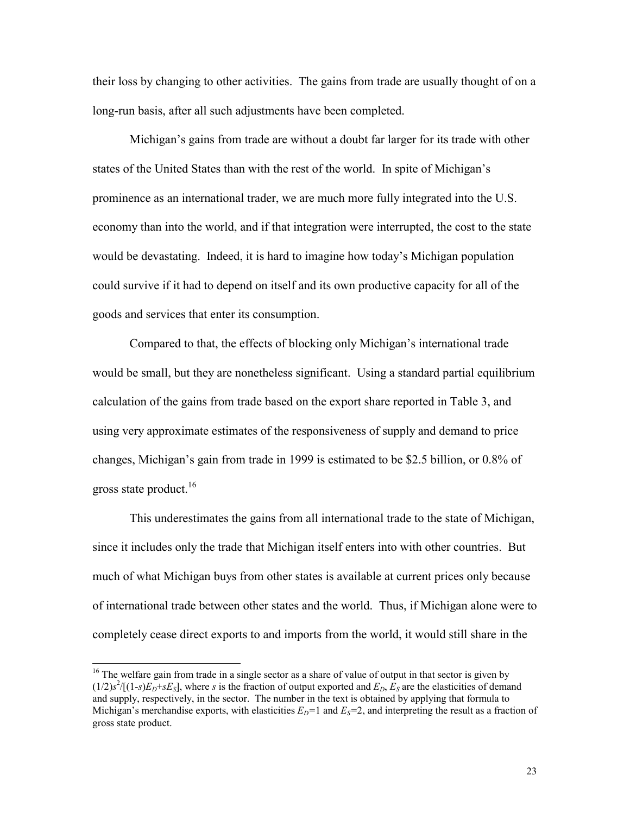their loss by changing to other activities. The gains from trade are usually thought of on a long-run basis, after all such adjustments have been completed.

Michigan's gains from trade are without a doubt far larger for its trade with other states of the United States than with the rest of the world. In spite of Michigan's prominence as an international trader, we are much more fully integrated into the U.S. economy than into the world, and if that integration were interrupted, the cost to the state would be devastating. Indeed, it is hard to imagine how today's Michigan population could survive if it had to depend on itself and its own productive capacity for all of the goods and services that enter its consumption.

Compared to that, the effects of blocking only Michigan's international trade would be small, but they are nonetheless significant. Using a standard partial equilibrium calculation of the gains from trade based on the export share reported in Table 3, and using very approximate estimates of the responsiveness of supply and demand to price changes, Michigan's gain from trade in 1999 is estimated to be \$2.5 billion, or 0.8% of gross state product.<sup>16</sup>

This underestimates the gains from all international trade to the state of Michigan, since it includes only the trade that Michigan itself enters into with other countries. But much of what Michigan buys from other states is available at current prices only because of international trade between other states and the world. Thus, if Michigan alone were to completely cease direct exports to and imports from the world, it would still share in the

 $\overline{a}$ 

 $16$  The welfare gain from trade in a single sector as a share of value of output in that sector is given by  $(1/2)s^2/[(1-s)E_D+sE_S]$ , where *s* is the fraction of output exported and  $E_D$ ,  $E_S$  are the elasticities of demand and supply, respectively, in the sector. The number in the text is obtained by applying that formula to Michigan's merchandise exports, with elasticities  $E_D=1$  and  $E_S=2$ , and interpreting the result as a fraction of gross state product.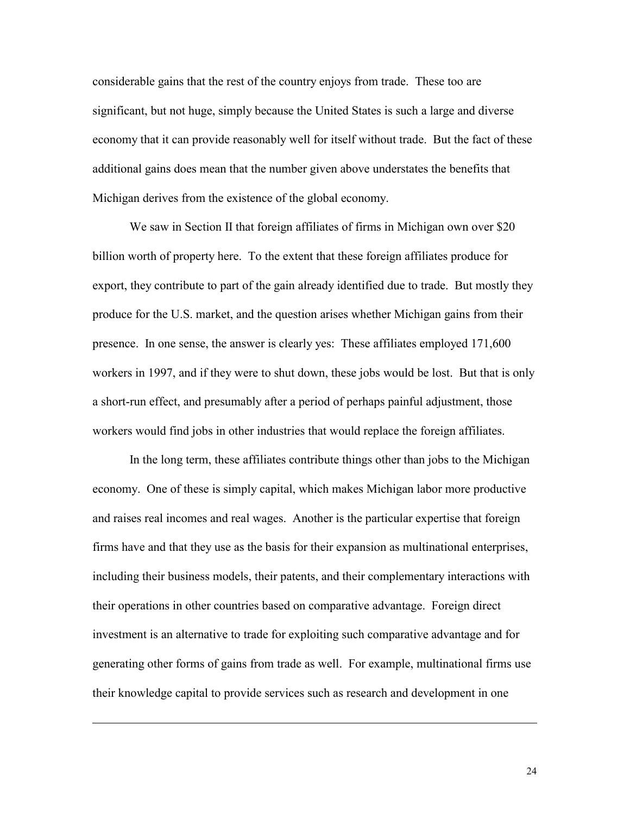considerable gains that the rest of the country enjoys from trade. These too are significant, but not huge, simply because the United States is such a large and diverse economy that it can provide reasonably well for itself without trade. But the fact of these additional gains does mean that the number given above understates the benefits that Michigan derives from the existence of the global economy.

We saw in Section II that foreign affiliates of firms in Michigan own over \$20 billion worth of property here. To the extent that these foreign affiliates produce for export, they contribute to part of the gain already identified due to trade. But mostly they produce for the U.S. market, and the question arises whether Michigan gains from their presence. In one sense, the answer is clearly yes: These affiliates employed 171,600 workers in 1997, and if they were to shut down, these jobs would be lost. But that is only a short-run effect, and presumably after a period of perhaps painful adjustment, those workers would find jobs in other industries that would replace the foreign affiliates.

In the long term, these affiliates contribute things other than jobs to the Michigan economy. One of these is simply capital, which makes Michigan labor more productive and raises real incomes and real wages. Another is the particular expertise that foreign firms have and that they use as the basis for their expansion as multinational enterprises, including their business models, their patents, and their complementary interactions with their operations in other countries based on comparative advantage. Foreign direct investment is an alternative to trade for exploiting such comparative advantage and for generating other forms of gains from trade as well. For example, multinational firms use their knowledge capital to provide services such as research and development in one

 $\overline{a}$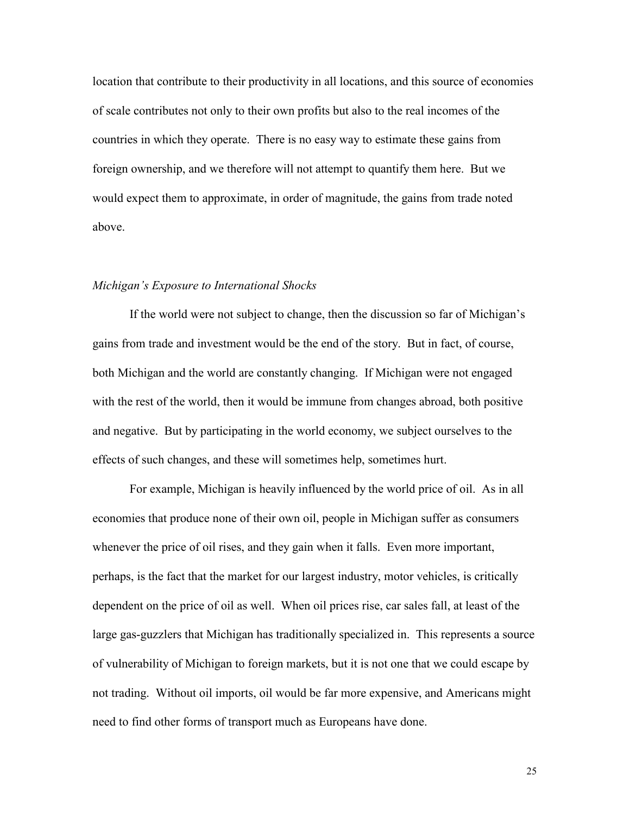location that contribute to their productivity in all locations, and this source of economies of scale contributes not only to their own profits but also to the real incomes of the countries in which they operate. There is no easy way to estimate these gains from foreign ownership, and we therefore will not attempt to quantify them here. But we would expect them to approximate, in order of magnitude, the gains from trade noted above.

#### *Michigan's Exposure to International Shocks*

If the world were not subject to change, then the discussion so far of Michigan's gains from trade and investment would be the end of the story. But in fact, of course, both Michigan and the world are constantly changing. If Michigan were not engaged with the rest of the world, then it would be immune from changes abroad, both positive and negative. But by participating in the world economy, we subject ourselves to the effects of such changes, and these will sometimes help, sometimes hurt.

For example, Michigan is heavily influenced by the world price of oil. As in all economies that produce none of their own oil, people in Michigan suffer as consumers whenever the price of oil rises, and they gain when it falls. Even more important, perhaps, is the fact that the market for our largest industry, motor vehicles, is critically dependent on the price of oil as well. When oil prices rise, car sales fall, at least of the large gas-guzzlers that Michigan has traditionally specialized in. This represents a source of vulnerability of Michigan to foreign markets, but it is not one that we could escape by not trading. Without oil imports, oil would be far more expensive, and Americans might need to find other forms of transport much as Europeans have done.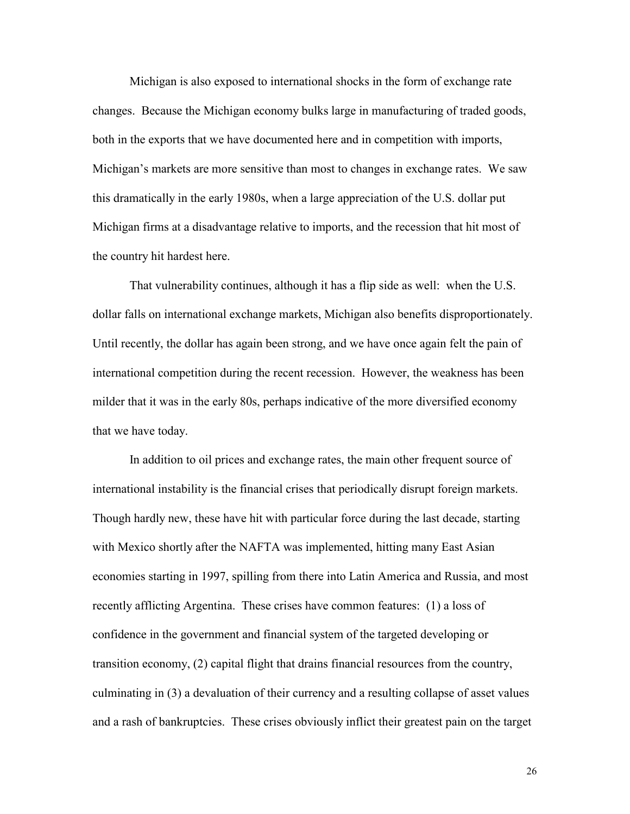Michigan is also exposed to international shocks in the form of exchange rate changes. Because the Michigan economy bulks large in manufacturing of traded goods, both in the exports that we have documented here and in competition with imports, Michigan's markets are more sensitive than most to changes in exchange rates. We saw this dramatically in the early 1980s, when a large appreciation of the U.S. dollar put Michigan firms at a disadvantage relative to imports, and the recession that hit most of the country hit hardest here.

That vulnerability continues, although it has a flip side as well: when the U.S. dollar falls on international exchange markets, Michigan also benefits disproportionately. Until recently, the dollar has again been strong, and we have once again felt the pain of international competition during the recent recession. However, the weakness has been milder that it was in the early 80s, perhaps indicative of the more diversified economy that we have today.

In addition to oil prices and exchange rates, the main other frequent source of international instability is the financial crises that periodically disrupt foreign markets. Though hardly new, these have hit with particular force during the last decade, starting with Mexico shortly after the NAFTA was implemented, hitting many East Asian economies starting in 1997, spilling from there into Latin America and Russia, and most recently afflicting Argentina. These crises have common features: (1) a loss of confidence in the government and financial system of the targeted developing or transition economy, (2) capital flight that drains financial resources from the country, culminating in (3) a devaluation of their currency and a resulting collapse of asset values and a rash of bankruptcies. These crises obviously inflict their greatest pain on the target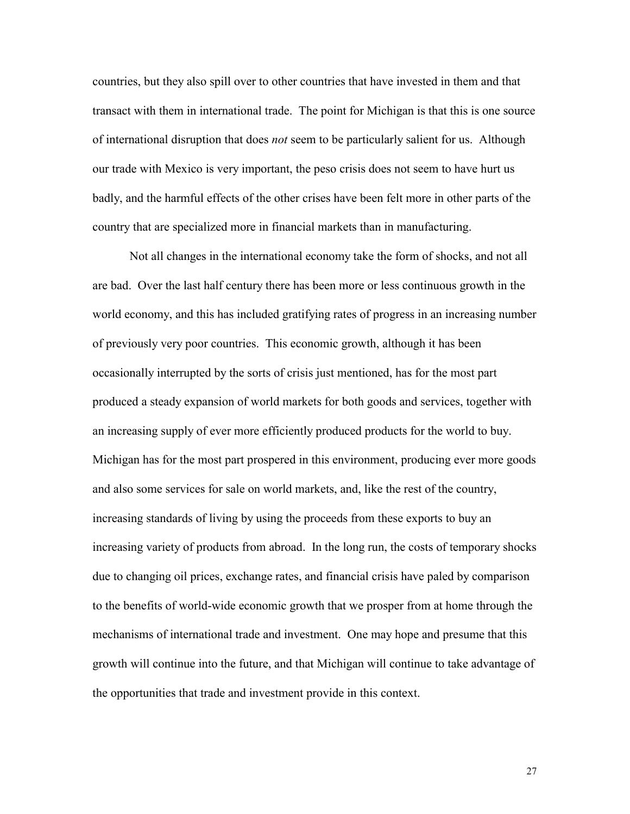countries, but they also spill over to other countries that have invested in them and that transact with them in international trade. The point for Michigan is that this is one source of international disruption that does *not* seem to be particularly salient for us. Although our trade with Mexico is very important, the peso crisis does not seem to have hurt us badly, and the harmful effects of the other crises have been felt more in other parts of the country that are specialized more in financial markets than in manufacturing.

Not all changes in the international economy take the form of shocks, and not all are bad. Over the last half century there has been more or less continuous growth in the world economy, and this has included gratifying rates of progress in an increasing number of previously very poor countries. This economic growth, although it has been occasionally interrupted by the sorts of crisis just mentioned, has for the most part produced a steady expansion of world markets for both goods and services, together with an increasing supply of ever more efficiently produced products for the world to buy. Michigan has for the most part prospered in this environment, producing ever more goods and also some services for sale on world markets, and, like the rest of the country, increasing standards of living by using the proceeds from these exports to buy an increasing variety of products from abroad. In the long run, the costs of temporary shocks due to changing oil prices, exchange rates, and financial crisis have paled by comparison to the benefits of world-wide economic growth that we prosper from at home through the mechanisms of international trade and investment. One may hope and presume that this growth will continue into the future, and that Michigan will continue to take advantage of the opportunities that trade and investment provide in this context.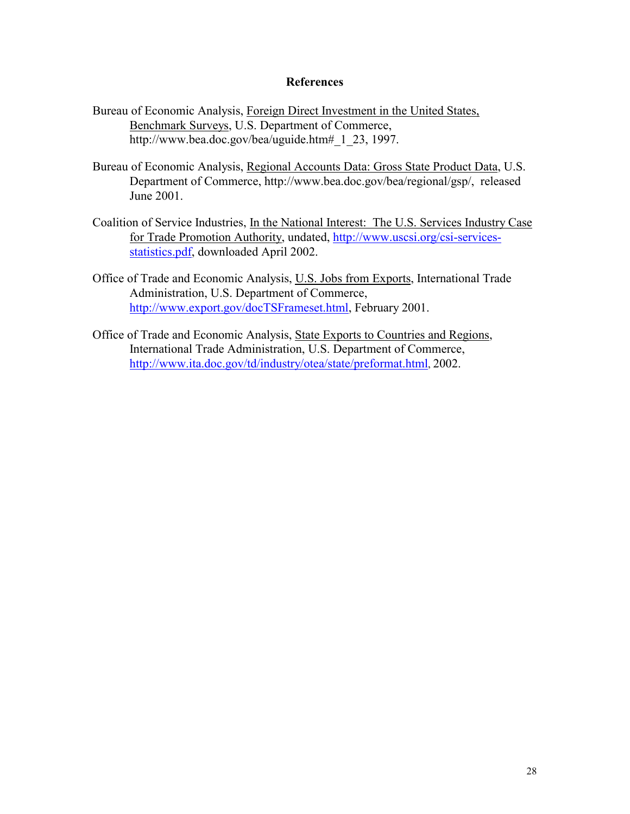#### **References**

- Bureau of Economic Analysis, Foreign Direct Investment in the United States, Benchmark Surveys, U.S. Department of Commerce, http://www.bea.doc.gov/bea/uguide.htm# 1 23, 1997.
- Bureau of Economic Analysis, Regional Accounts Data: Gross State Product Data, U.S. Department of Commerce, http://www.bea.doc.gov/bea/regional/gsp/, released June 2001.
- Coalition of Service Industries, In the National Interest: The U.S. Services Industry Case for Trade Promotion Authority, undated, http://www.uscsi.org/csi-servicesstatistics.pdf, downloaded April 2002.
- Office of Trade and Economic Analysis, U.S. Jobs from Exports, International Trade Administration, U.S. Department of Commerce, http://www.export.gov/docTSFrameset.html, February 2001.
- Office of Trade and Economic Analysis, State Exports to Countries and Regions, International Trade Administration, U.S. Department of Commerce, http://www.ita.doc.gov/td/industry/otea/state/preformat.html, 2002.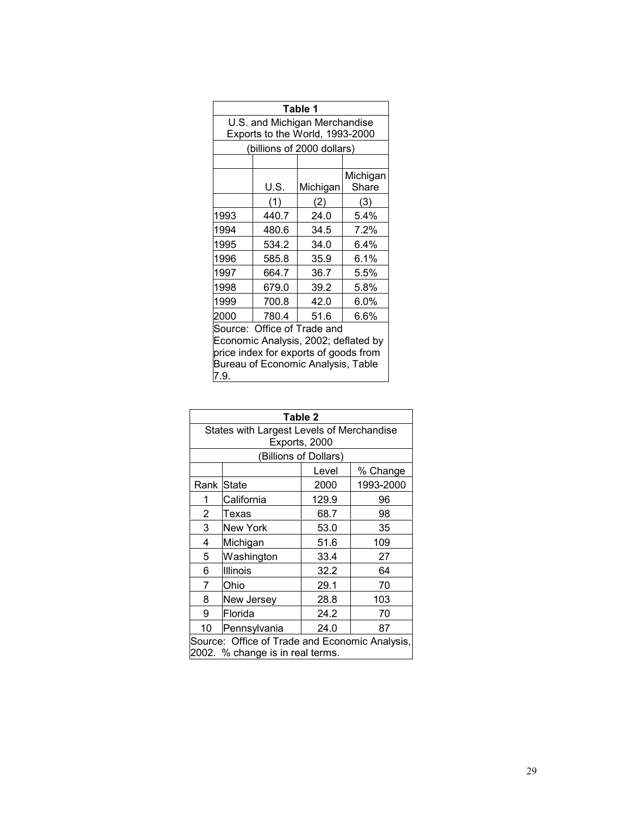| Table 1                                                                                                                                                    |       |                                 |                   |  |
|------------------------------------------------------------------------------------------------------------------------------------------------------------|-------|---------------------------------|-------------------|--|
|                                                                                                                                                            |       | U.S. and Michigan Merchandise   |                   |  |
|                                                                                                                                                            |       | Exports to the World, 1993-2000 |                   |  |
|                                                                                                                                                            |       | (billions of 2000 dollars)      |                   |  |
|                                                                                                                                                            |       |                                 |                   |  |
|                                                                                                                                                            | U.S.  | Michigan                        | Michigan<br>Share |  |
|                                                                                                                                                            | (1)   | (2)                             | (3)               |  |
| 1993                                                                                                                                                       | 440.7 | 24.0                            | 5.4%              |  |
| 1994                                                                                                                                                       | 480.6 | 34.5                            | 7.2%              |  |
| 1995                                                                                                                                                       | 534.2 | 34.0                            | 6.4%              |  |
| 1996                                                                                                                                                       | 585.8 | 35.9                            | 6.1%              |  |
| 1997                                                                                                                                                       | 664.7 | 36.7                            | 5.5%              |  |
| 1998                                                                                                                                                       | 679.0 | 39.2                            | 5.8%              |  |
| 1999                                                                                                                                                       | 700.8 | 42.0                            | 6.0%              |  |
| 2000                                                                                                                                                       | 780.4 | 51.6                            | 6.6%              |  |
| Source: Office of Trade and<br>Economic Analysis, 2002; deflated by<br>price index for exports of goods from<br>Bureau of Economic Analysis, Table<br>7.9. |       |                                 |                   |  |

| States with Largest Levels of Merchandise<br>Exports, 2000 |              |       |           |  |  |
|------------------------------------------------------------|--------------|-------|-----------|--|--|
| (Billions of Dollars)                                      |              |       |           |  |  |
|                                                            |              | Level | % Change  |  |  |
| Rank                                                       | <b>State</b> | 2000  | 1993-2000 |  |  |
| 1                                                          | California   | 129.9 | 96        |  |  |
| 2                                                          | Texas        | 68.7  | 98        |  |  |
| 3                                                          | New York     | 53.0  | 35        |  |  |
| 4                                                          | Michigan     | 51.6  | 109       |  |  |
| 5                                                          | Washington   | 33.4  | 27        |  |  |
| 6                                                          | Illinois     | 32.2  | 64        |  |  |
| 7                                                          | Ohio         | 29.1  | 70        |  |  |
| 8                                                          | New Jersey   | 28.8  | 103       |  |  |
| 9                                                          | Florida      | 24.2  | 70        |  |  |
| 10<br>Pennsylvania<br>24.0<br>87                           |              |       |           |  |  |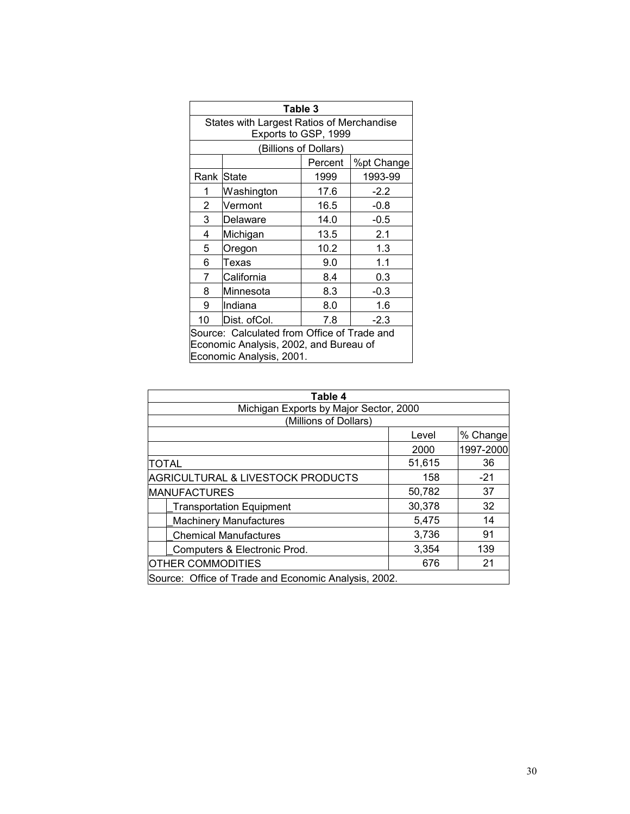| Table 3                                |                                             |                       |            |  |  |
|----------------------------------------|---------------------------------------------|-----------------------|------------|--|--|
|                                        | States with Largest Ratios of Merchandise   |                       |            |  |  |
|                                        | Exports to GSP, 1999                        |                       |            |  |  |
|                                        |                                             | (Billions of Dollars) |            |  |  |
|                                        |                                             | Percent               | %pt Change |  |  |
| Rank <i>State</i>                      |                                             | 1999                  | 1993-99    |  |  |
| 1                                      | Washington                                  | 17.6                  | $-2.2$     |  |  |
| 2                                      | Vermont                                     | 16.5                  | $-0.8$     |  |  |
| 3                                      | Delaware                                    | 14.0                  | $-0.5$     |  |  |
| 4                                      | Michigan                                    | 13.5                  | 2.1        |  |  |
| 5                                      | Oregon                                      | 10.2                  | 1.3        |  |  |
| 6                                      | Texas                                       | 9.0                   | 1.1        |  |  |
| 7                                      | California                                  | 8.4                   | 0.3        |  |  |
| 8                                      | Minnesota                                   | 8.3                   | $-0.3$     |  |  |
| 9                                      | Indiana                                     | 8.0                   | 1.6        |  |  |
| 10                                     | Dist. ofCol.                                | 7.8                   | $-2.3$     |  |  |
|                                        | Source: Calculated from Office of Trade and |                       |            |  |  |
| Economic Analysis, 2002, and Bureau of |                                             |                       |            |  |  |
|                                        | Economic Analysis, 2001.                    |                       |            |  |  |

| Table 4                                              |        |           |  |  |  |
|------------------------------------------------------|--------|-----------|--|--|--|
| Michigan Exports by Major Sector, 2000               |        |           |  |  |  |
| (Millions of Dollars)                                |        |           |  |  |  |
|                                                      | Level  | % Change  |  |  |  |
|                                                      | 2000   | 1997-2000 |  |  |  |
| <b>TOTAL</b>                                         | 51,615 | 36        |  |  |  |
| <b>AGRICULTURAL &amp; LIVESTOCK PRODUCTS</b>         | 158    | $-21$     |  |  |  |
| <b>MANUFACTURES</b>                                  | 50,782 | 37        |  |  |  |
| <b>Transportation Equipment</b>                      | 30,378 | 32        |  |  |  |
| <b>Machinery Manufactures</b>                        | 5,475  | 14        |  |  |  |
| <b>Chemical Manufactures</b>                         | 3,736  | 91        |  |  |  |
| Computers & Electronic Prod.                         | 3,354  | 139       |  |  |  |
| <b>OTHER COMMODITIES</b>                             | 676    | 21        |  |  |  |
| Source: Office of Trade and Economic Analysis, 2002. |        |           |  |  |  |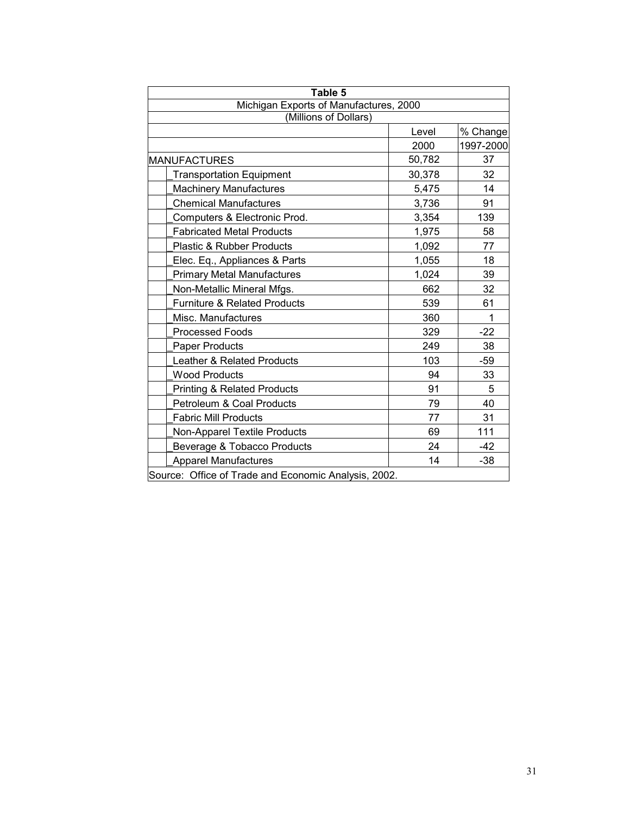| Table 5                                              |        |           |  |  |
|------------------------------------------------------|--------|-----------|--|--|
| Michigan Exports of Manufactures, 2000               |        |           |  |  |
| (Millions of Dollars)                                |        |           |  |  |
|                                                      | Level  | % Change  |  |  |
|                                                      | 2000   | 1997-2000 |  |  |
| <b>MANUFACTURES</b>                                  | 50,782 | 37        |  |  |
| <b>Transportation Equipment</b>                      | 30,378 | 32        |  |  |
| <b>Machinery Manufactures</b>                        | 5,475  | 14        |  |  |
| <b>Chemical Manufactures</b>                         | 3,736  | 91        |  |  |
| Computers & Electronic Prod.                         | 3,354  | 139       |  |  |
| <b>Fabricated Metal Products</b>                     | 1,975  | 58        |  |  |
| Plastic & Rubber Products                            | 1,092  | 77        |  |  |
| Elec. Eq., Appliances & Parts                        | 1,055  | 18        |  |  |
| <b>Primary Metal Manufactures</b>                    | 1,024  | 39        |  |  |
| Non-Metallic Mineral Mfgs.                           | 662    | 32        |  |  |
| <b>Furniture &amp; Related Products</b>              | 539    | 61        |  |  |
| Misc. Manufactures                                   | 360    | 1         |  |  |
| <b>Processed Foods</b>                               | 329    | $-22$     |  |  |
| Paper Products                                       | 249    | 38        |  |  |
| Leather & Related Products                           | 103    | $-59$     |  |  |
| <b>Wood Products</b>                                 | 94     | 33        |  |  |
| Printing & Related Products                          | 91     | 5         |  |  |
| Petroleum & Coal Products                            | 79     | 40        |  |  |
| <b>Fabric Mill Products</b>                          | 77     | 31        |  |  |
| Non-Apparel Textile Products                         | 69     | 111       |  |  |
| Beverage & Tobacco Products                          | 24     | $-42$     |  |  |
| <b>Apparel Manufactures</b>                          | 14     | $-38$     |  |  |
| Source: Office of Trade and Economic Analysis, 2002. |        |           |  |  |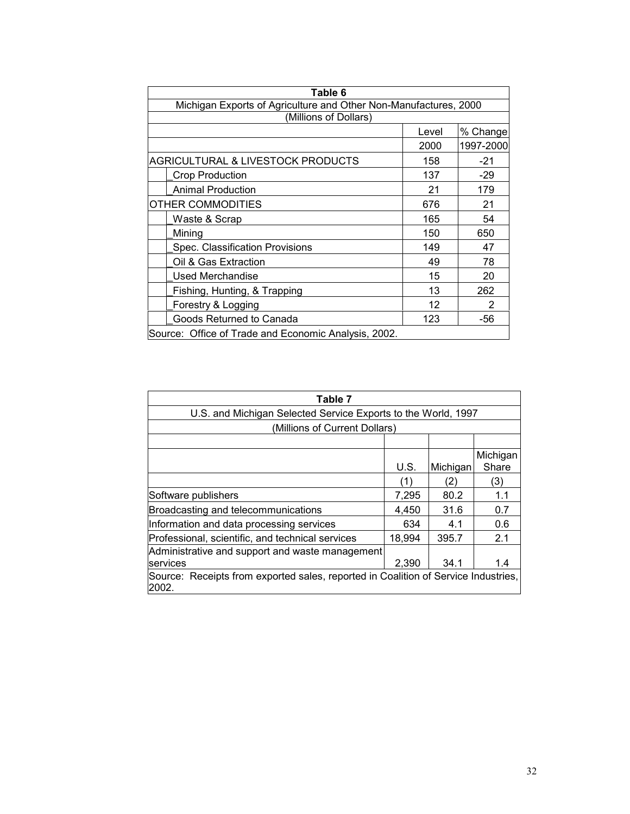| Table 6                                                          |       |           |  |  |  |
|------------------------------------------------------------------|-------|-----------|--|--|--|
| Michigan Exports of Agriculture and Other Non-Manufactures, 2000 |       |           |  |  |  |
| (Millions of Dollars)                                            |       |           |  |  |  |
|                                                                  | Level | % Change  |  |  |  |
|                                                                  | 2000  | 1997-2000 |  |  |  |
| <b>AGRICULTURAL &amp; LIVESTOCK PRODUCTS</b>                     | 158   | $-21$     |  |  |  |
| <b>Crop Production</b>                                           | 137   | $-29$     |  |  |  |
| <b>Animal Production</b>                                         | 21    | 179       |  |  |  |
| OTHER COMMODITIES                                                | 676   | 21        |  |  |  |
| Waste & Scrap                                                    | 165   | 54        |  |  |  |
| Mining                                                           | 150   | 650       |  |  |  |
| Spec. Classification Provisions                                  | 149   | 47        |  |  |  |
| Oil & Gas Extraction                                             | 49    | 78        |  |  |  |
| Used Merchandise                                                 | 15    | 20        |  |  |  |
| Fishing, Hunting, & Trapping                                     | 13    | 262       |  |  |  |
| Forestry & Logging                                               | 12    | 2         |  |  |  |
| Goods Returned to Canada                                         | 123   | -56       |  |  |  |
| Source: Office of Trade and Economic Analysis, 2002.             |       |           |  |  |  |

| Table 7                                                                                     |        |          |          |  |
|---------------------------------------------------------------------------------------------|--------|----------|----------|--|
| U.S. and Michigan Selected Service Exports to the World, 1997                               |        |          |          |  |
| (Millions of Current Dollars)                                                               |        |          |          |  |
|                                                                                             |        |          |          |  |
|                                                                                             |        |          | Michigan |  |
|                                                                                             | U.S.   | Michigan | Share    |  |
|                                                                                             | 1)     | (2)      | (3)      |  |
| Software publishers                                                                         | 7,295  | 80.2     | 1.1      |  |
| Broadcasting and telecommunications                                                         | 4,450  | 31.6     | 0.7      |  |
| Information and data processing services                                                    | 634    | 4.1      | 0.6      |  |
| Professional, scientific, and technical services                                            | 18,994 | 395.7    | 2.1      |  |
| Administrative and support and waste management                                             |        |          |          |  |
| services                                                                                    | 2,390  | 34.1     | 1.4      |  |
| Source: Receipts from exported sales, reported in Coalition of Service Industries,<br>2002. |        |          |          |  |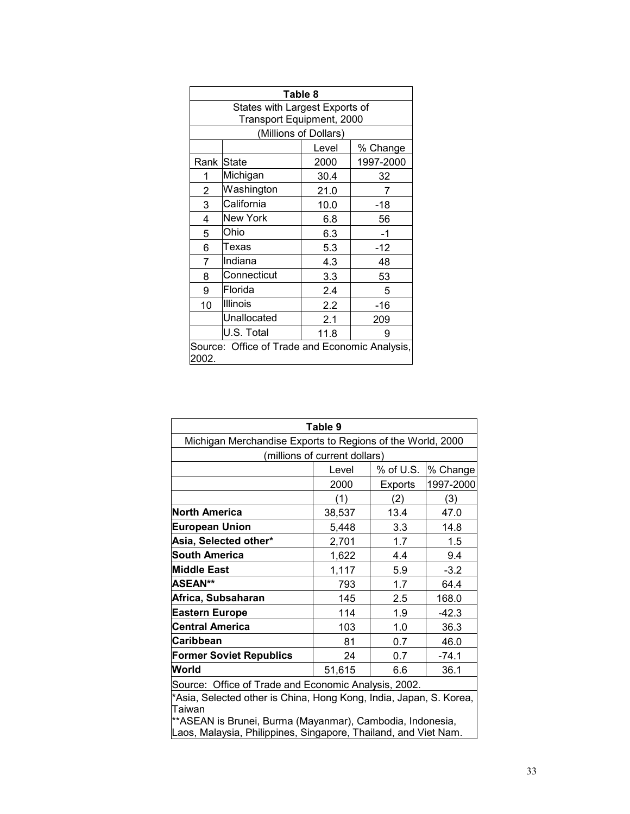| Table 8                                                 |                                                             |      |           |  |  |  |
|---------------------------------------------------------|-------------------------------------------------------------|------|-----------|--|--|--|
|                                                         | States with Largest Exports of<br>Transport Equipment, 2000 |      |           |  |  |  |
|                                                         | (Millions of Dollars)                                       |      |           |  |  |  |
|                                                         | % Change<br>Level                                           |      |           |  |  |  |
| Rank State                                              |                                                             | 2000 | 1997-2000 |  |  |  |
| 1                                                       | Michigan                                                    | 30.4 | 32        |  |  |  |
| 2                                                       | Washington                                                  | 21.0 | 7         |  |  |  |
| 3                                                       | California                                                  | 10.0 | $-18$     |  |  |  |
| 4                                                       | <b>New York</b>                                             | 6.8  | 56        |  |  |  |
| 5                                                       | Ohio                                                        | 6.3  | $-1$      |  |  |  |
| 6                                                       | Texas                                                       | 5.3  | $-12$     |  |  |  |
| 7                                                       | Indiana                                                     | 4.3  | 48        |  |  |  |
| 8                                                       | Connecticut                                                 | 3.3  | 53        |  |  |  |
| 9                                                       | Florida                                                     | 2.4  | 5         |  |  |  |
| 10                                                      | Illinois                                                    | 2.2  | -16       |  |  |  |
|                                                         | Unallocated                                                 | 2.1  | 209       |  |  |  |
|                                                         | U.S. Total                                                  | 11.8 | 9         |  |  |  |
| Source: Office of Trade and Economic Analysis,<br>2002. |                                                             |      |           |  |  |  |

| Table 9                                                                                                                                   |                                |           |         |  |  |  |
|-------------------------------------------------------------------------------------------------------------------------------------------|--------------------------------|-----------|---------|--|--|--|
| Michigan Merchandise Exports to Regions of the World, 2000                                                                                |                                |           |         |  |  |  |
| (millions of current dollars)                                                                                                             |                                |           |         |  |  |  |
|                                                                                                                                           | % Change<br>% of U.S.<br>Level |           |         |  |  |  |
|                                                                                                                                           | 2000                           | 1997-2000 |         |  |  |  |
|                                                                                                                                           | (1)                            | (2)       | (3)     |  |  |  |
| North America                                                                                                                             | 38,537                         | 13.4      | 47.0    |  |  |  |
| <b>European Union</b>                                                                                                                     | 5,448                          | 3.3       | 14.8    |  |  |  |
| Asia, Selected other*                                                                                                                     | 1.7<br>1.5<br>2,701            |           |         |  |  |  |
| <b>South America</b>                                                                                                                      | 1,622                          | 4.4       | 9.4     |  |  |  |
| Middle East                                                                                                                               | 1,117                          | 5.9       | $-3.2$  |  |  |  |
| <b>ASEAN**</b>                                                                                                                            | 793                            | 1.7       | 64.4    |  |  |  |
| Africa, Subsaharan                                                                                                                        | 145                            | 2.5       | 168.0   |  |  |  |
| <b>Eastern Europe</b>                                                                                                                     | 114<br>1.9<br>$-42.3$          |           |         |  |  |  |
| Central America                                                                                                                           | 103                            | 1.0       | 36.3    |  |  |  |
| Caribbean                                                                                                                                 | 81                             | 0.7       | 46.0    |  |  |  |
| <b>Former Soviet Republics</b>                                                                                                            | 24                             | 0.7       | $-74.1$ |  |  |  |
| <b>World</b>                                                                                                                              | 51,615                         | 6.6       | 36.1    |  |  |  |
| Source: Office of Trade and Economic Analysis, 2002.                                                                                      |                                |           |         |  |  |  |
| *Asia, Selected other is China, Hong Kong, India, Japan, S. Korea,<br>Taiwan<br>**ASEAN is Brunei, Burma (Mayanmar), Cambodia, Indonesia, |                                |           |         |  |  |  |
| Laos, Malaysia, Philippines, Singapore, Thailand, and Viet Nam.                                                                           |                                |           |         |  |  |  |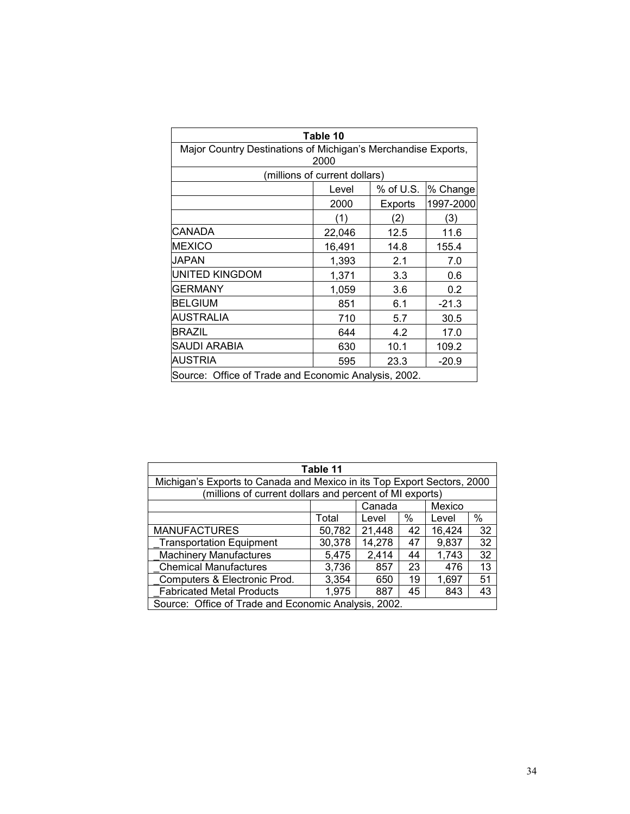| Table 10                                                              |        |                |           |  |  |
|-----------------------------------------------------------------------|--------|----------------|-----------|--|--|
| Major Country Destinations of Michigan's Merchandise Exports,<br>2000 |        |                |           |  |  |
| (millions of current dollars)                                         |        |                |           |  |  |
|                                                                       | Level  | % of U.S.      | % Change  |  |  |
|                                                                       | 2000   | <b>Exports</b> | 1997-2000 |  |  |
|                                                                       | (1)    | (2)            | (3)       |  |  |
| CANADA                                                                | 22,046 | 12.5           | 11.6      |  |  |
| <b>MEXICO</b>                                                         | 16,491 | 14.8           | 155.4     |  |  |
| JAPAN                                                                 | 1,393  | 2.1            | 7.0       |  |  |
| UNITED KINGDOM                                                        | 1,371  | 3.3            | 0.6       |  |  |
| <b>GERMANY</b>                                                        | 1,059  | 3.6            | 0.2       |  |  |
| <b>BELGIUM</b>                                                        | 851    | 6.1            | $-21.3$   |  |  |
| AUSTRALIA                                                             | 710    | 5.7            | 30.5      |  |  |
| <b>BRAZIL</b>                                                         | 644    | 4.2            | 17.0      |  |  |
| SAUDI ARABIA                                                          | 630    | 10.1           | 109.2     |  |  |
| <b>AUSTRIA</b>                                                        | 595    | 23.3           | $-20.9$   |  |  |
| Source: Office of Trade and Economic Analysis, 2002.                  |        |                |           |  |  |

| Table 11                                                                |        |        |      |        |      |
|-------------------------------------------------------------------------|--------|--------|------|--------|------|
| Michigan's Exports to Canada and Mexico in its Top Export Sectors, 2000 |        |        |      |        |      |
| (millions of current dollars and percent of MI exports)                 |        |        |      |        |      |
|                                                                         |        | Canada |      | Mexico |      |
|                                                                         | Total  | Level  | $\%$ | Level  | $\%$ |
| <b>MANUFACTURES</b>                                                     | 50,782 | 21,448 | 42   | 16,424 | 32   |
| <b>Transportation Equipment</b>                                         | 30,378 | 14,278 | 47   | 9,837  | 32   |
| <b>Machinery Manufactures</b>                                           | 5,475  | 2,414  | 44   | 1,743  | 32   |
| <b>Chemical Manufactures</b>                                            | 3,736  | 857    | 23   | 476    | 13   |
| Computers & Electronic Prod.                                            | 3,354  | 650    | 19   | 1,697  | 51   |
| <b>Fabricated Metal Products</b>                                        | 1,975  | 887    | 45   | 843    | 43   |
| Source: Office of Trade and Economic Analysis, 2002.                    |        |        |      |        |      |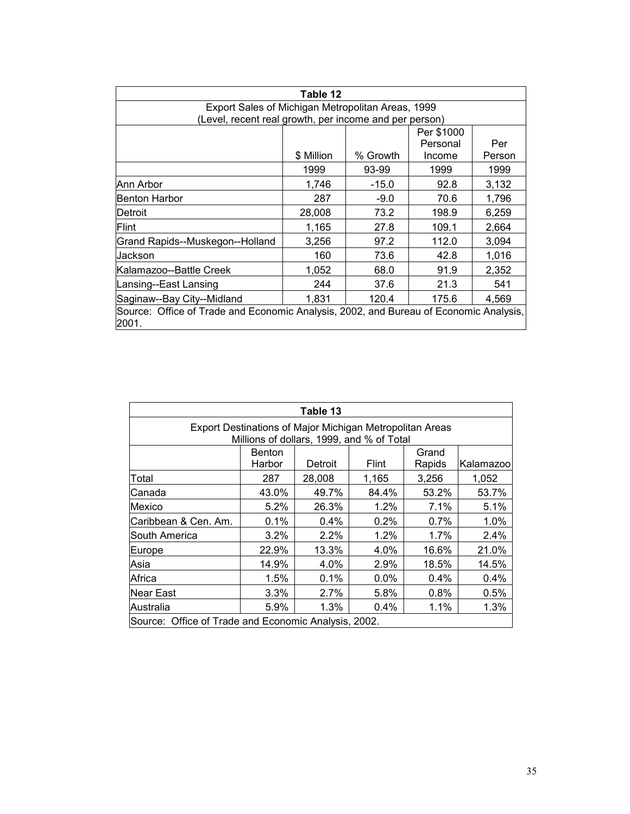| Table 12                                                                                       |            |          |          |        |  |
|------------------------------------------------------------------------------------------------|------------|----------|----------|--------|--|
| Export Sales of Michigan Metropolitan Areas, 1999                                              |            |          |          |        |  |
| (Level, recent real growth, per income and per person)                                         |            |          |          |        |  |
|                                                                                                | Per \$1000 |          |          |        |  |
|                                                                                                |            |          | Personal | Per    |  |
|                                                                                                | \$ Million | % Growth | Income   | Person |  |
|                                                                                                | 1999       | 93-99    | 1999     | 1999   |  |
| Ann Arbor                                                                                      | 1,746      | $-15.0$  | 92.8     | 3,132  |  |
| Benton Harbor                                                                                  | 287        | $-9.0$   | 70.6     | 1,796  |  |
| Detroit                                                                                        | 28,008     | 73.2     | 198.9    | 6,259  |  |
| Flint                                                                                          | 1,165      | 27.8     | 109.1    | 2,664  |  |
| Grand Rapids--Muskegon--Holland                                                                | 3,256      | 97.2     | 112.0    | 3,094  |  |
| Jackson                                                                                        | 160        | 73.6     | 42.8     | 1,016  |  |
| Kalamazoo--Battle Creek                                                                        | 1,052      | 68.0     | 91.9     | 2,352  |  |
| Lansing--East Lansing                                                                          | 244        | 37.6     | 21.3     | 541    |  |
| Saginaw--Bay City--Midland<br>1,831<br>120.4<br>175.6<br>4,569                                 |            |          |          |        |  |
| Source: Office of Trade and Economic Analysis, 2002, and Bureau of Economic Analysis,<br>2001. |            |          |          |        |  |

| Table 13                                                                                              |         |        |         |       |       |  |  |  |
|-------------------------------------------------------------------------------------------------------|---------|--------|---------|-------|-------|--|--|--|
| Export Destinations of Major Michigan Metropolitan Areas<br>Millions of dollars, 1999, and % of Total |         |        |         |       |       |  |  |  |
| Grand<br>Benton<br>Flint<br>Harbor<br>Detroit<br>Rapids<br>Kalamazoo                                  |         |        |         |       |       |  |  |  |
| Total                                                                                                 | 287     | 28,008 | 1,165   | 3,256 | 1,052 |  |  |  |
| Canada                                                                                                | 43.0%   | 49.7%  | 84.4%   | 53.2% | 53.7% |  |  |  |
| Mexico                                                                                                | 5.2%    | 26.3%  | $1.2\%$ | 7.1%  | 5.1%  |  |  |  |
| Caribbean & Cen. Am.                                                                                  | 0.1%    | 0.4%   | 0.2%    | 0.7%  | 1.0%  |  |  |  |
| South America                                                                                         | 3.2%    | 2.2%   | 1.2%    | 1.7%  | 2.4%  |  |  |  |
| Europe                                                                                                | 22.9%   | 13.3%  | 4.0%    | 16.6% | 21.0% |  |  |  |
| Asia                                                                                                  | 14.9%   | 4.0%   | 2.9%    | 18.5% | 14.5% |  |  |  |
| Africa                                                                                                | 1.5%    | 0.1%   | $0.0\%$ | 0.4%  | 0.4%  |  |  |  |
| Near East                                                                                             | $3.3\%$ | 2.7%   | 5.8%    | 0.8%  | 0.5%  |  |  |  |
| Australia                                                                                             | 5.9%    | 1.3%   | $0.4\%$ | 1.1%  | 1.3%  |  |  |  |
| Source: Office of Trade and Economic Analysis, 2002.                                                  |         |        |         |       |       |  |  |  |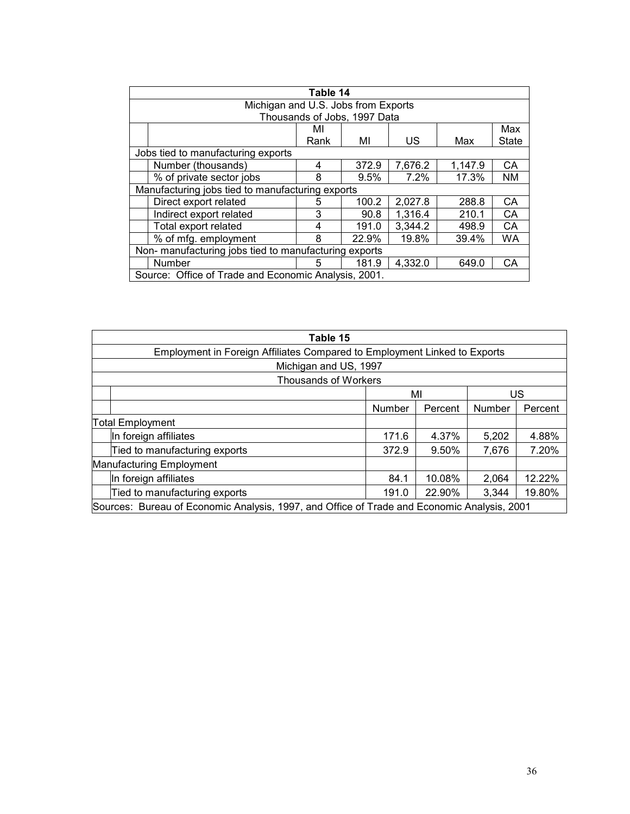| Table 14                                              |      |       |         |         |              |  |  |  |
|-------------------------------------------------------|------|-------|---------|---------|--------------|--|--|--|
| Michigan and U.S. Jobs from Exports                   |      |       |         |         |              |  |  |  |
| Thousands of Jobs, 1997 Data                          |      |       |         |         |              |  |  |  |
| Max<br>MI                                             |      |       |         |         |              |  |  |  |
|                                                       | Rank | МI    | US      | Max     | <b>State</b> |  |  |  |
| Jobs tied to manufacturing exports                    |      |       |         |         |              |  |  |  |
| Number (thousands)                                    | 4    | 372.9 | 7,676.2 | 1,147.9 | CA           |  |  |  |
| % of private sector jobs                              | 8    | 9.5%  | 7.2%    | 17.3%   | <b>NM</b>    |  |  |  |
| Manufacturing jobs tied to manufacturing exports      |      |       |         |         |              |  |  |  |
| Direct export related                                 | 5    | 100.2 | 2,027.8 | 288.8   | <b>CA</b>    |  |  |  |
| Indirect export related                               | 3    | 90.8  | 1,316.4 | 210.1   | CA           |  |  |  |
| Total export related                                  | 4    | 191.0 | 3,344.2 | 498.9   | CA           |  |  |  |
| % of mfg. employment                                  | 8    | 22.9% | 19.8%   | 39.4%   | <b>WA</b>    |  |  |  |
| Non- manufacturing jobs tied to manufacturing exports |      |       |         |         |              |  |  |  |
| Number                                                | 5    | 181.9 | 4,332.0 | 649.0   | CA           |  |  |  |
| Source: Office of Trade and Economic Analysis, 2001.  |      |       |         |         |              |  |  |  |

| Table 15                                                                                    |                                                                           |  |  |  |  |  |  |
|---------------------------------------------------------------------------------------------|---------------------------------------------------------------------------|--|--|--|--|--|--|
|                                                                                             | Employment in Foreign Affiliates Compared to Employment Linked to Exports |  |  |  |  |  |  |
| Michigan and US, 1997                                                                       |                                                                           |  |  |  |  |  |  |
| <b>Thousands of Workers</b>                                                                 |                                                                           |  |  |  |  |  |  |
| ΜI<br>US                                                                                    |                                                                           |  |  |  |  |  |  |
|                                                                                             | Number<br><b>Number</b><br>Percent<br>Percent                             |  |  |  |  |  |  |
| <b>Total Employment</b>                                                                     |                                                                           |  |  |  |  |  |  |
| In foreign affiliates                                                                       | 171.6<br>4.37%<br>5,202<br>4.88%                                          |  |  |  |  |  |  |
| 7.20%<br>Tied to manufacturing exports<br>372.9<br>9.50%<br>7,676                           |                                                                           |  |  |  |  |  |  |
| Manufacturing Employment                                                                    |                                                                           |  |  |  |  |  |  |
| In foreign affiliates<br>12.22%<br>10.08%<br>2,064<br>84.1                                  |                                                                           |  |  |  |  |  |  |
| Tied to manufacturing exports<br>19.80%<br>22.90%<br>191.0<br>3,344                         |                                                                           |  |  |  |  |  |  |
| Sources: Bureau of Economic Analysis, 1997, and Office of Trade and Economic Analysis, 2001 |                                                                           |  |  |  |  |  |  |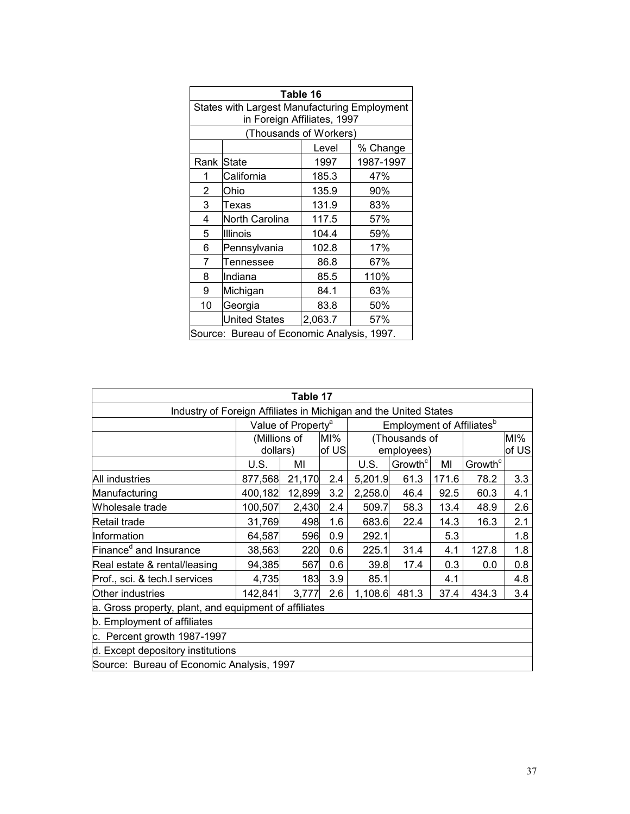| Table 16               |                                                                             |         |           |  |  |  |  |  |
|------------------------|-----------------------------------------------------------------------------|---------|-----------|--|--|--|--|--|
|                        | States with Largest Manufacturing Employment<br>in Foreign Affiliates, 1997 |         |           |  |  |  |  |  |
| (Thousands of Workers) |                                                                             |         |           |  |  |  |  |  |
|                        |                                                                             | Level   | % Change  |  |  |  |  |  |
| Rank                   | <b>State</b>                                                                | 1997    | 1987-1997 |  |  |  |  |  |
| 1                      | California                                                                  | 185.3   | 47%       |  |  |  |  |  |
| 2                      | Ohio                                                                        | 135.9   | 90%       |  |  |  |  |  |
| 3                      | Texas                                                                       | 131.9   | 83%       |  |  |  |  |  |
| 4                      | North Carolina                                                              | 117.5   | 57%       |  |  |  |  |  |
| 5                      | Illinois                                                                    | 104.4   | 59%       |  |  |  |  |  |
| 6                      | Pennsylvania                                                                | 102.8   | 17%       |  |  |  |  |  |
| 7                      | Tennessee                                                                   | 86.8    | 67%       |  |  |  |  |  |
| 8                      | Indiana                                                                     | 85.5    | 110%      |  |  |  |  |  |
| 9                      | Michigan                                                                    | 84.1    | 63%       |  |  |  |  |  |
| 10                     | Georgia                                                                     | 83.8    | 50%       |  |  |  |  |  |
|                        | <b>United States</b>                                                        | 2,063.7 | 57%       |  |  |  |  |  |
|                        | Source: Bureau of Economic Analysis, 1997.                                  |         |           |  |  |  |  |  |

| Table 17                                                         |                                |        |        |         |                                              |       |                     |        |
|------------------------------------------------------------------|--------------------------------|--------|--------|---------|----------------------------------------------|-------|---------------------|--------|
| Industry of Foreign Affiliates in Michigan and the United States |                                |        |        |         |                                              |       |                     |        |
|                                                                  | Value of Property <sup>a</sup> |        |        |         | <b>Employment of Affiliates</b> <sup>b</sup> |       |                     |        |
|                                                                  | (Millions of                   |        | $M1$ % |         | (Thousands of                                |       |                     | $M1$ % |
|                                                                  | dollars)                       |        | of US  |         | employees)                                   |       |                     | of US  |
|                                                                  | U.S.                           | ΜI     |        | U.S.    | Growth <sup>c</sup>                          | MI    | Growth <sup>c</sup> |        |
| <b>All industries</b>                                            | 877,568                        | 21,170 | 2.4    | 5,201.9 | 61.3                                         | 171.6 | 78.2                | 3.3    |
| Manufacturing                                                    | 400,182                        | 12,899 | 3.2    | 2,258.0 | 46.4                                         | 92.5  | 60.3                | 4.1    |
| Wholesale trade                                                  | 100,507                        | 2,430  | 2.4    | 509.7   | 58.3                                         | 13.4  | 48.9                | 2.6    |
| Retail trade                                                     | 31,769                         | 498    | 1.6    | 683.6   | 22.4                                         | 14.3  | 16.3                | 2.1    |
| Information                                                      | 64,587                         | 596    | 0.9    | 292.1   |                                              | 5.3   |                     | 1.8    |
| Finance <sup>d</sup> and Insurance                               | 38,563                         | 220    | 0.6    | 225.1   | 31.4                                         | 4.1   | 127.8               | 1.8    |
| Real estate & rental/leasing                                     | 94,385                         | 567    | 0.6    | 39.8    | 17.4                                         | 0.3   | 0.0                 | 0.8    |
| Prof., sci. & tech.I services                                    | 4,735                          | 183    | 3.9    | 85.1    |                                              | 4.1   |                     | 4.8    |
| Other industries                                                 | 142,841                        | 3,777  | 2.6    | 1,108.6 | 481.3                                        | 37.4  | 434.3               | 3.4    |
| a. Gross property, plant, and equipment of affiliates            |                                |        |        |         |                                              |       |                     |        |
| b. Employment of affiliates                                      |                                |        |        |         |                                              |       |                     |        |
| c. Percent growth 1987-1997                                      |                                |        |        |         |                                              |       |                     |        |
| d. Except depository institutions                                |                                |        |        |         |                                              |       |                     |        |
| Source: Bureau of Economic Analysis, 1997                        |                                |        |        |         |                                              |       |                     |        |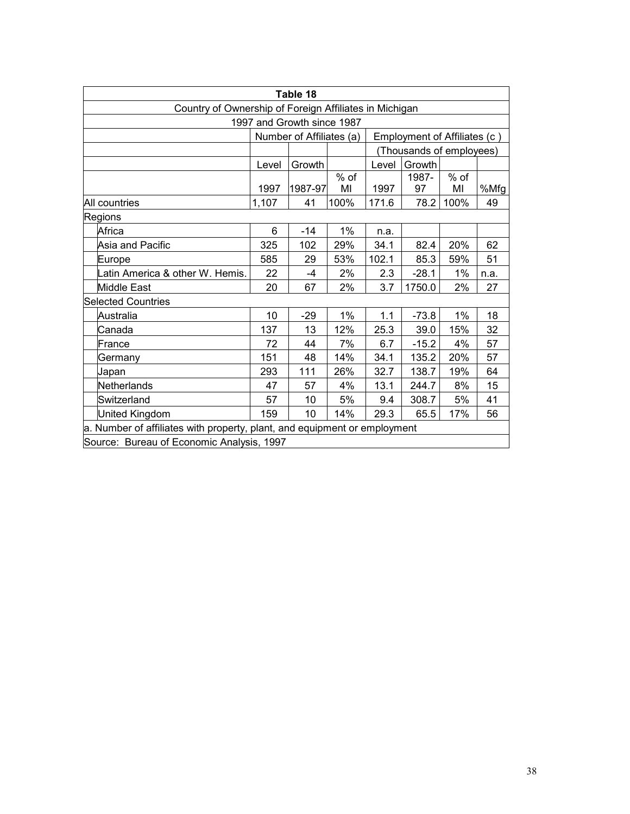| Table 18                                                                  |                                               |         |       |       |         |        |      |  |
|---------------------------------------------------------------------------|-----------------------------------------------|---------|-------|-------|---------|--------|------|--|
| Country of Ownership of Foreign Affiliates in Michigan                    |                                               |         |       |       |         |        |      |  |
| 1997 and Growth since 1987                                                |                                               |         |       |       |         |        |      |  |
| Number of Affiliates (a)<br>Employment of Affiliates (c)                  |                                               |         |       |       |         |        |      |  |
|                                                                           | (Thousands of employees)                      |         |       |       |         |        |      |  |
|                                                                           | Growth<br>Growth<br>Level<br>Level            |         |       |       |         |        |      |  |
|                                                                           |                                               |         | % of  |       | 1987-   | $%$ of |      |  |
|                                                                           | 1997                                          | 1987-97 | MI    | 1997  | 97      | MI     | %Mfg |  |
| All countries                                                             | 1,107                                         | 41      | 100%  | 171.6 | 78.2    | 100%   | 49   |  |
| Regions                                                                   |                                               |         |       |       |         |        |      |  |
| Africa                                                                    | 6                                             | $-14$   | $1\%$ | n.a.  |         |        |      |  |
| Asia and Pacific                                                          | 325                                           | 102     | 29%   | 34.1  | 82.4    | 20%    | 62   |  |
| Europe                                                                    | 585                                           | 29      | 53%   | 102.1 | 85.3    | 59%    | 51   |  |
| Latin America & other W. Hemis.                                           | 22                                            | -4      | 2%    | 2.3   | $-28.1$ | 1%     | n.a. |  |
| <b>Middle East</b>                                                        | 20                                            | 67      | 2%    | 3.7   | 1750.0  | 2%     | 27   |  |
| <b>Selected Countries</b>                                                 |                                               |         |       |       |         |        |      |  |
| Australia                                                                 | 10                                            | -29     | $1\%$ | 1.1   | $-73.8$ | 1%     | 18   |  |
| Canada                                                                    | 137                                           | 13      | 12%   | 25.3  | 39.0    | 15%    | 32   |  |
| lFrance                                                                   | 72                                            | 44      | 7%    | 6.7   | $-15.2$ | 4%     | 57   |  |
| Germany                                                                   | 151                                           | 48      | 14%   | 34.1  | 135.2   | 20%    | 57   |  |
| Japan                                                                     | 293                                           | 111     | 26%   | 32.7  | 138.7   | 19%    | 64   |  |
| Netherlands                                                               | 47                                            | 57      | 4%    | 13.1  | 244.7   | 8%     | 15   |  |
| Switzerland                                                               | 57                                            | 10      | 5%    | 9.4   | 308.7   | 5%     | 41   |  |
| United Kingdom                                                            | 159<br>10<br>14%<br>29.3<br>65.5<br>56<br>17% |         |       |       |         |        |      |  |
| a. Number of affiliates with property, plant, and equipment or employment |                                               |         |       |       |         |        |      |  |
| Source: Bureau of Economic Analysis, 1997                                 |                                               |         |       |       |         |        |      |  |